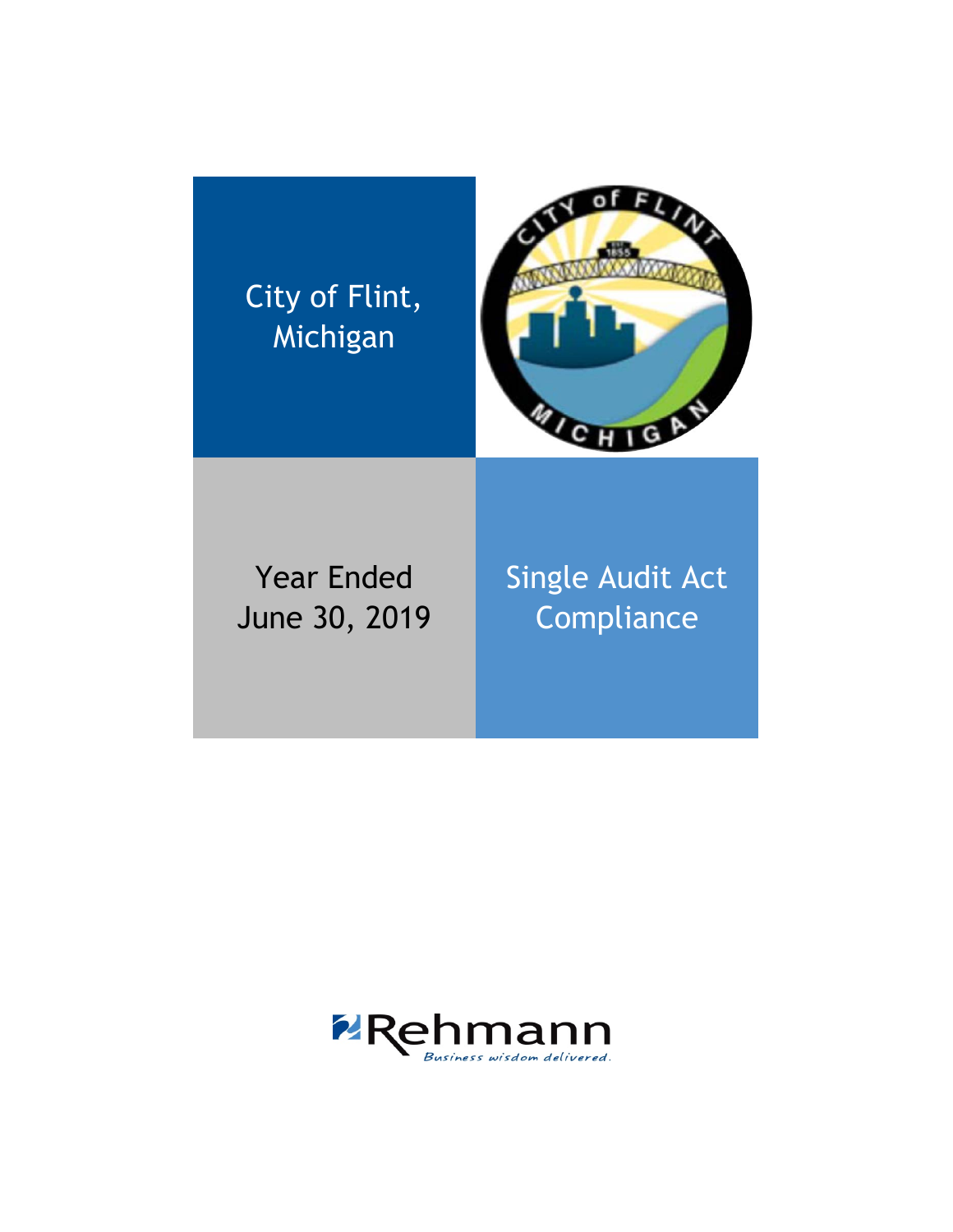

# Year Ended June 30, 2019

Single Audit Act **Compliance** 

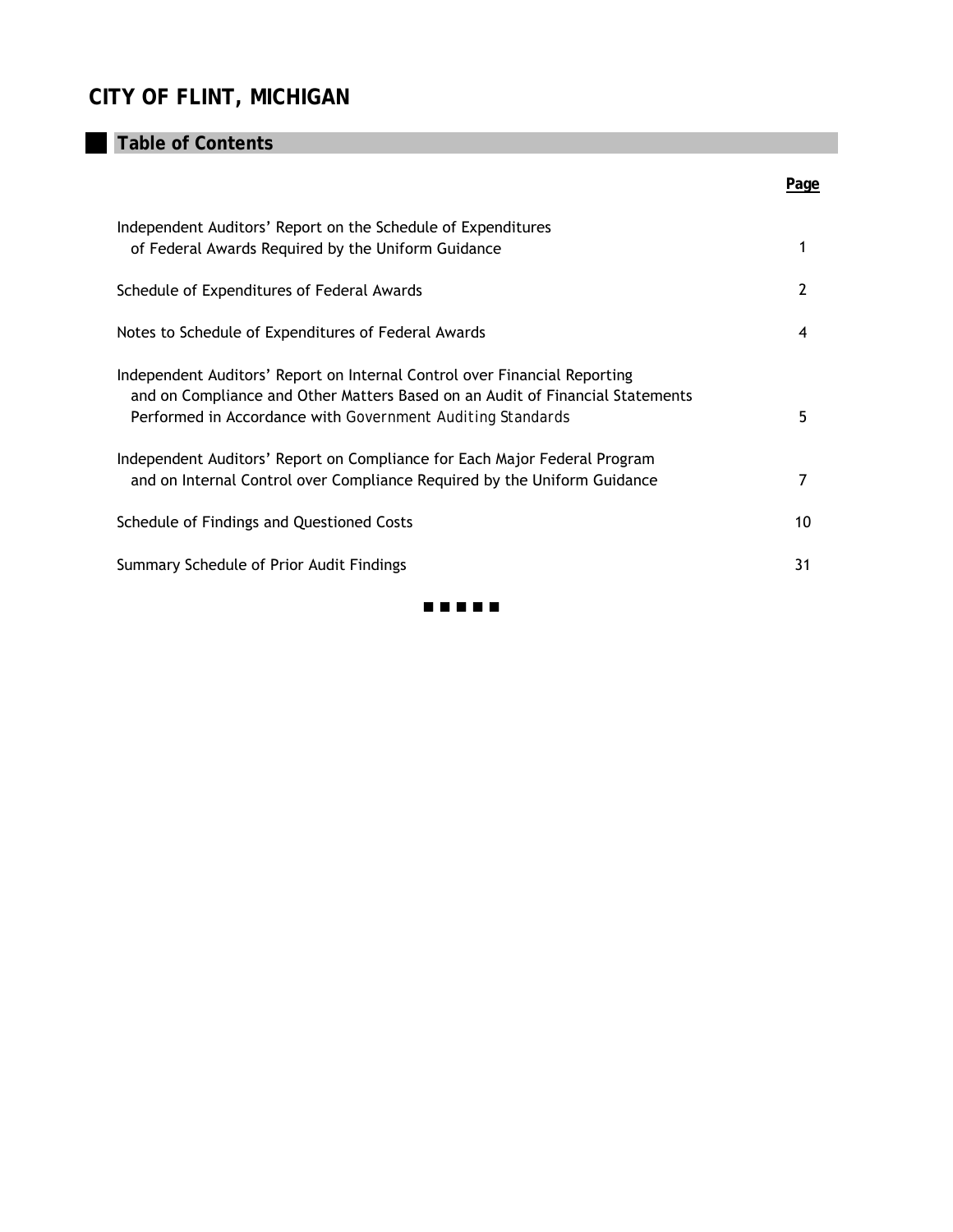# **Table of Contents**

|                                                                                                                                                                                                                          | Page |
|--------------------------------------------------------------------------------------------------------------------------------------------------------------------------------------------------------------------------|------|
| Independent Auditors' Report on the Schedule of Expenditures<br>of Federal Awards Required by the Uniform Guidance                                                                                                       |      |
| Schedule of Expenditures of Federal Awards                                                                                                                                                                               | 2    |
| Notes to Schedule of Expenditures of Federal Awards                                                                                                                                                                      | 4    |
| Independent Auditors' Report on Internal Control over Financial Reporting<br>and on Compliance and Other Matters Based on an Audit of Financial Statements<br>Performed in Accordance with Government Auditing Standards | 5    |
| Independent Auditors' Report on Compliance for Each Major Federal Program<br>and on Internal Control over Compliance Required by the Uniform Guidance                                                                    | 7    |
| Schedule of Findings and Questioned Costs                                                                                                                                                                                | 10   |
| Summary Schedule of Prior Audit Findings                                                                                                                                                                                 | 31   |
|                                                                                                                                                                                                                          |      |

.....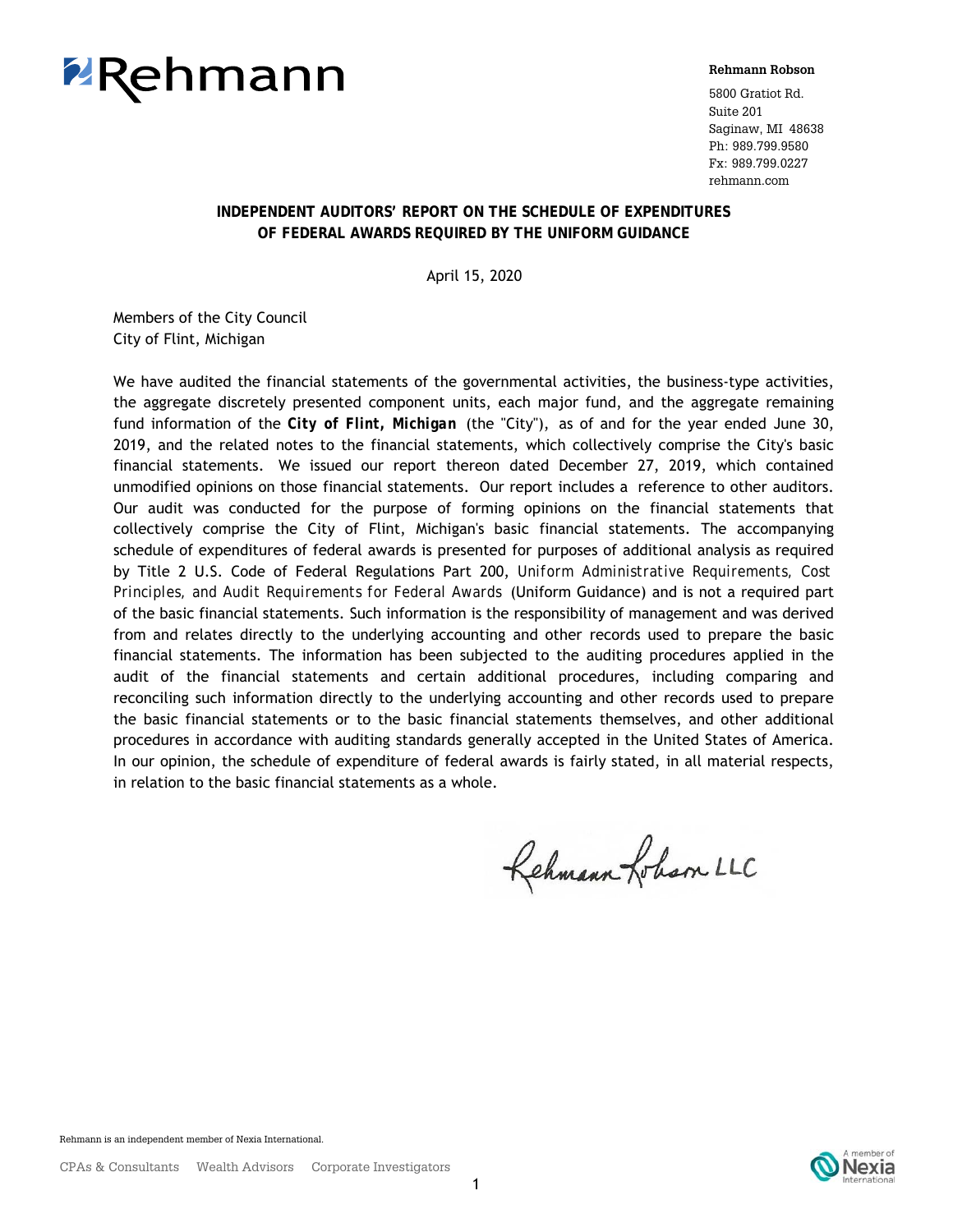

#### **Rehmann Robson**

5800 Gratiot Rd. Suite 201 Saginaw, MI 48638 Ph: 989.799.9580 Fx: 989.799.0227 rehmann.com

### **INDEPENDENT AUDITORS' REPORT ON THE SCHEDULE OF EXPENDITURES OF FEDERAL AWARDS REQUIRED BY THE UNIFORM GUIDANCE**

April 15, 2020

Members of the City Council City of Flint, Michigan

We have audited the financial statements of the governmental activities, the business-type activities, the aggregate discretely presented component units, each major fund, and the aggregate remaining fund information of the *City of Flint, Michigan* (the "City"), as of and for the year ended June 30, 2019, and the related notes to the financial statements, which collectively comprise the City's basic financial statements. We issued our report thereon dated December 27, 2019, which contained unmodified opinions on those financial statements. Our report includes a reference to other auditors. Our audit was conducted for the purpose of forming opinions on the financial statements that collectively comprise the City of Flint, Michigan's basic financial statements. The accompanying schedule of expenditures of federal awards is presented for purposes of additional analysis as required by Title 2 U.S. Code of Federal Regulations Part 200, *Uniform Administrative Requirements, Cost Principles, and Audit Requirements for Federal Awards* (Uniform Guidance) and is not a required part of the basic financial statements. Such information is the responsibility of management and was derived from and relates directly to the underlying accounting and other records used to prepare the basic financial statements. The information has been subjected to the auditing procedures applied in the audit of the financial statements and certain additional procedures, including comparing and reconciling such information directly to the underlying accounting and other records used to prepare the basic financial statements or to the basic financial statements themselves, and other additional procedures in accordance with auditing standards generally accepted in the United States of America. In our opinion, the schedule of expenditure of federal awards is fairly stated, in all material respects, in relation to the basic financial statements as a whole.

Rehmann Lobam LLC

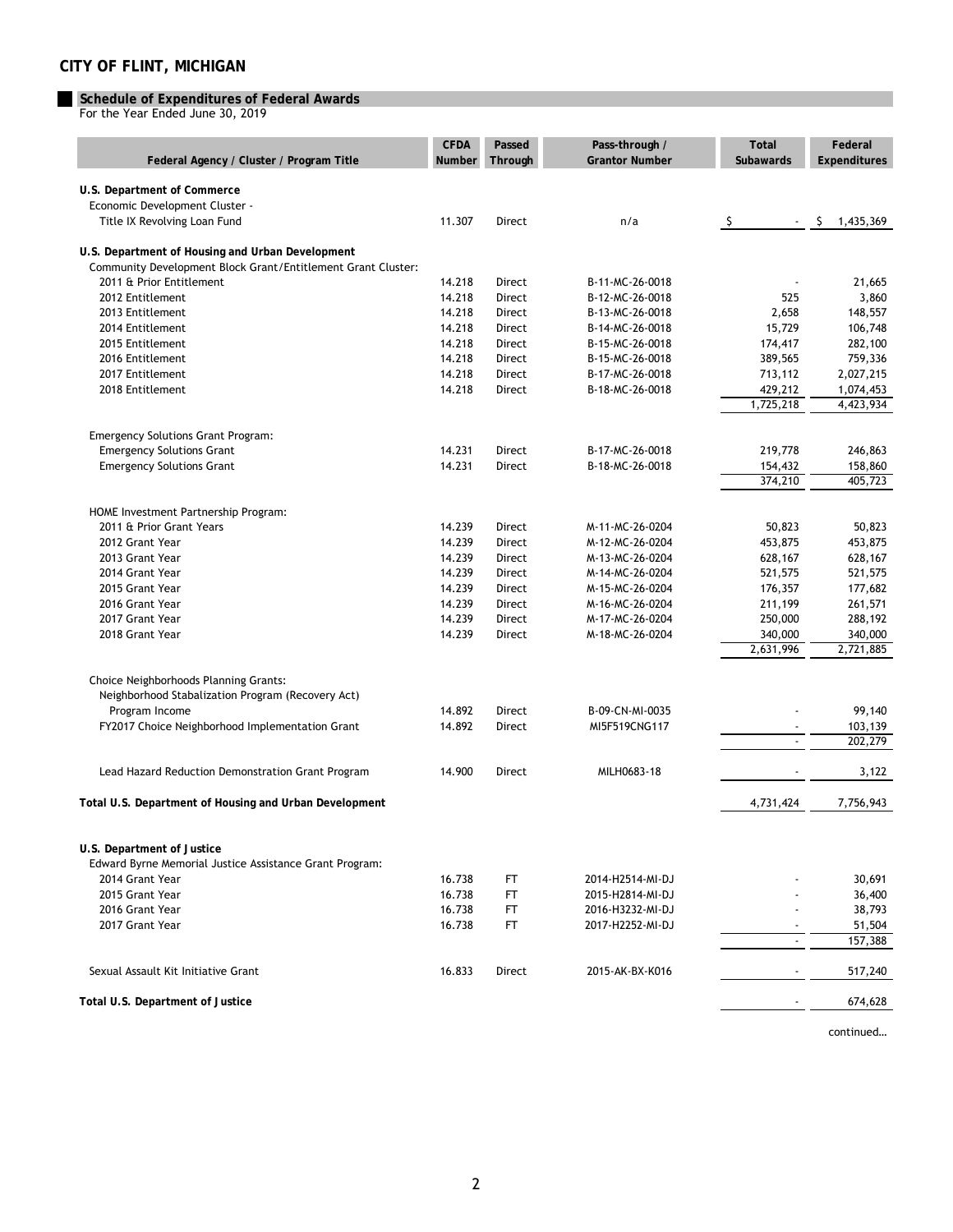#### **Schedule of Expenditures of Federal Awards**

For the Year Ended June 30, 2019

| Federal Agency / Cluster / Program Title                     | <b>CFDA</b><br><b>Number</b> | Passed<br>Through | Pass-through /<br><b>Grantor Number</b> | <b>Total</b><br>Subawards | Federal<br>Expenditures |
|--------------------------------------------------------------|------------------------------|-------------------|-----------------------------------------|---------------------------|-------------------------|
| U.S. Department of Commerce                                  |                              |                   |                                         |                           |                         |
| Economic Development Cluster -                               |                              |                   |                                         |                           |                         |
| Title IX Revolving Loan Fund                                 | 11.307                       | Direct            | n/a                                     | -\$<br>$\sim$             | 1,435,369<br>\$.        |
|                                                              |                              |                   |                                         |                           |                         |
| U.S. Department of Housing and Urban Development             |                              |                   |                                         |                           |                         |
| Community Development Block Grant/Entitlement Grant Cluster: |                              |                   |                                         |                           |                         |
| 2011 & Prior Entitlement                                     | 14.218                       | Direct            | B-11-MC-26-0018                         |                           | 21,665                  |
| 2012 Entitlement                                             | 14.218                       | Direct            | B-12-MC-26-0018                         | 525                       | 3,860                   |
| 2013 Entitlement                                             | 14.218                       | Direct            | B-13-MC-26-0018                         | 2,658                     | 148,557                 |
| 2014 Entitlement                                             | 14.218                       | Direct            | B-14-MC-26-0018                         | 15,729                    | 106,748                 |
| 2015 Entitlement                                             | 14.218                       | Direct            | B-15-MC-26-0018                         | 174,417                   | 282,100                 |
| 2016 Entitlement                                             | 14.218                       | Direct            | B-15-MC-26-0018                         | 389,565                   | 759,336                 |
| 2017 Entitlement                                             | 14.218                       | Direct            | B-17-MC-26-0018                         | 713,112                   | 2,027,215               |
| 2018 Entitlement                                             | 14.218                       | <b>Direct</b>     | B-18-MC-26-0018                         | 429,212                   | 1,074,453               |
|                                                              |                              |                   |                                         | 1,725,218                 | 4,423,934               |
| <b>Emergency Solutions Grant Program:</b>                    |                              |                   |                                         |                           |                         |
| <b>Emergency Solutions Grant</b>                             | 14.231                       | Direct            | B-17-MC-26-0018                         | 219,778                   | 246,863                 |
| <b>Emergency Solutions Grant</b>                             | 14.231                       | Direct            | B-18-MC-26-0018                         | 154,432                   | 158,860                 |
|                                                              |                              |                   |                                         | 374,210                   | 405,723                 |
|                                                              |                              |                   |                                         |                           |                         |
| HOME Investment Partnership Program:                         |                              |                   |                                         |                           |                         |
| 2011 & Prior Grant Years                                     | 14.239                       | Direct            | M-11-MC-26-0204                         | 50,823                    | 50,823                  |
| 2012 Grant Year                                              | 14.239                       | Direct            | M-12-MC-26-0204                         | 453,875                   | 453,875                 |
| 2013 Grant Year                                              | 14.239                       | Direct            | M-13-MC-26-0204                         | 628,167                   | 628,167                 |
| 2014 Grant Year                                              | 14.239                       | Direct            | M-14-MC-26-0204                         | 521,575                   | 521,575                 |
| 2015 Grant Year                                              | 14.239                       | Direct            | M-15-MC-26-0204                         | 176,357                   | 177,682                 |
| 2016 Grant Year                                              | 14.239                       | Direct            | M-16-MC-26-0204                         | 211,199                   | 261,571                 |
| 2017 Grant Year                                              | 14.239                       | Direct            | M-17-MC-26-0204                         | 250,000                   | 288,192                 |
| 2018 Grant Year                                              | 14.239                       | Direct            | M-18-MC-26-0204                         | 340,000                   | 340,000                 |
|                                                              |                              |                   |                                         | 2,631,996                 | 2,721,885               |
|                                                              |                              |                   |                                         |                           |                         |
| Choice Neighborhoods Planning Grants:                        |                              |                   |                                         |                           |                         |
| Neighborhood Stabalization Program (Recovery Act)            |                              |                   |                                         |                           |                         |
| Program Income                                               | 14.892                       | Direct            | B-09-CN-MI-0035                         |                           | 99,140                  |
| FY2017 Choice Neighborhood Implementation Grant              | 14.892                       | Direct            | MI5F519CNG117                           |                           | 103,139                 |
|                                                              |                              |                   |                                         |                           | 202,279                 |
| Lead Hazard Reduction Demonstration Grant Program            | 14.900                       | Direct            | MILH0683-18                             |                           | 3,122                   |
|                                                              |                              |                   |                                         |                           |                         |
| Total U.S. Department of Housing and Urban Development       |                              |                   |                                         | 4,731,424                 | 7,756,943               |
| U.S. Department of Justice                                   |                              |                   |                                         |                           |                         |
| Edward Byrne Memorial Justice Assistance Grant Program:      |                              |                   |                                         |                           |                         |
| 2014 Grant Year                                              | 16.738                       | FT                | 2014-H2514-MI-DJ                        |                           | 30,691                  |
| 2015 Grant Year                                              | 16.738                       | FT                | 2015-H2814-MI-DJ                        |                           | 36,400                  |
| 2016 Grant Year                                              | 16.738                       | FT                | 2016-H3232-MI-DJ                        |                           | 38,793                  |
| 2017 Grant Year                                              | 16.738                       | FT                | 2017-H2252-MI-DJ                        |                           | 51,504                  |
|                                                              |                              |                   |                                         | $\overline{\phantom{a}}$  | 157,388                 |
|                                                              |                              |                   |                                         |                           |                         |
| Sexual Assault Kit Initiative Grant                          | 16.833                       | Direct            | 2015-AK-BX-K016                         |                           | 517,240                 |
| Total U.S. Department of Justice                             |                              |                   |                                         |                           | 674,628                 |
|                                                              |                              |                   |                                         |                           |                         |

continued…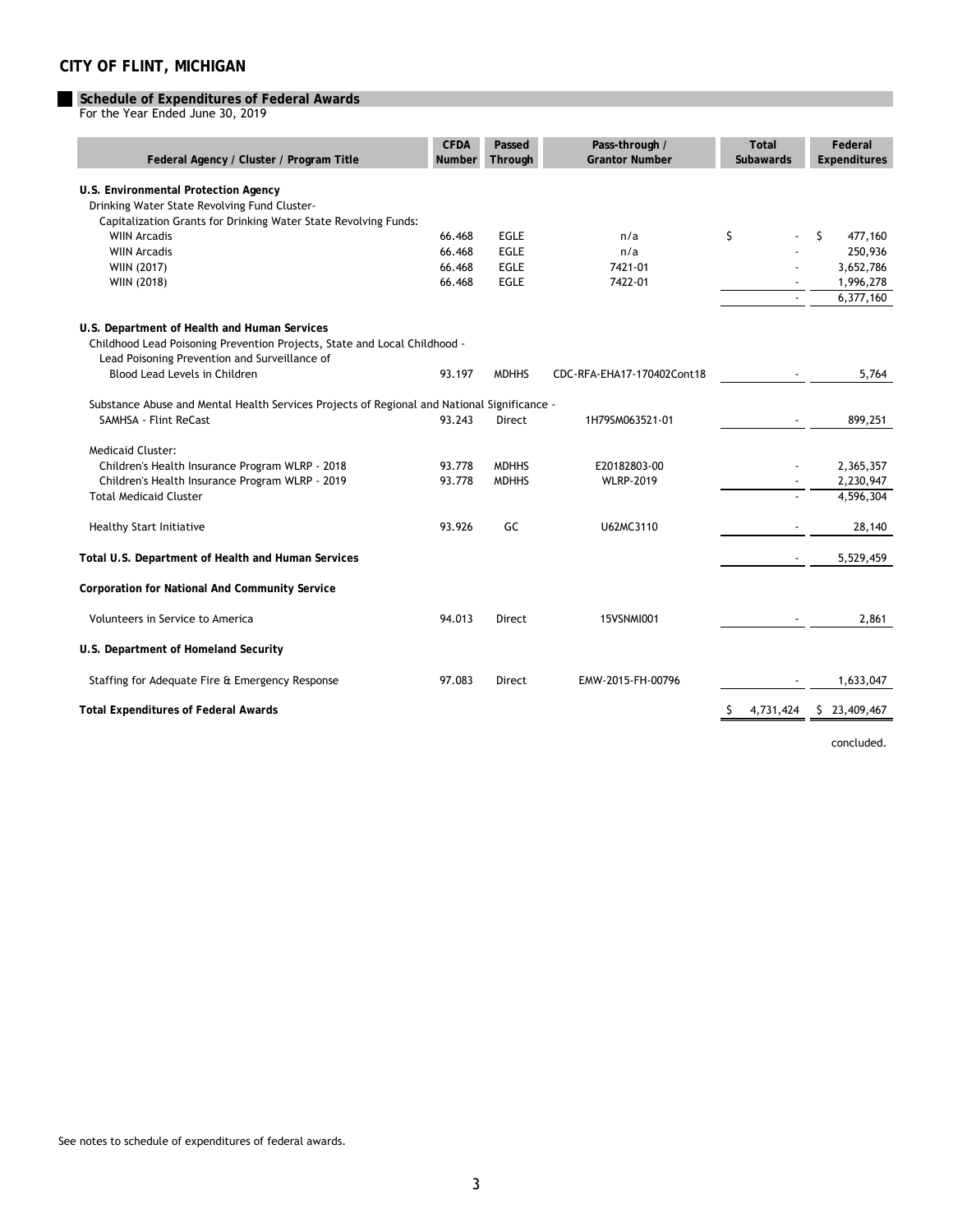#### **Schedule of Expenditures of Federal Awards**

For the Year Ended June 30, 2019

| Federal Agency / Cluster / Program Title                                                    | <b>CFDA</b><br><b>Number</b> | Passed<br>Through | Pass-through /<br><b>Grantor Number</b> | Total<br><b>Subawards</b> | Federal<br>Expenditures |
|---------------------------------------------------------------------------------------------|------------------------------|-------------------|-----------------------------------------|---------------------------|-------------------------|
| U.S. Environmental Protection Agency                                                        |                              |                   |                                         |                           |                         |
| Drinking Water State Revolving Fund Cluster-                                                |                              |                   |                                         |                           |                         |
| Capitalization Grants for Drinking Water State Revolving Funds:                             |                              |                   |                                         |                           |                         |
| <b>WIIN Arcadis</b>                                                                         | 66.468                       | <b>EGLE</b>       | n/a                                     | \$                        | Ś.<br>477,160           |
| <b>WIIN Arcadis</b>                                                                         | 66.468                       | <b>EGLE</b>       | n/a                                     |                           | 250,936                 |
| WIIN (2017)                                                                                 | 66.468                       | <b>EGLE</b>       | 7421-01                                 |                           | 3,652,786               |
| WIIN (2018)                                                                                 | 66.468                       | <b>EGLE</b>       | 7422-01                                 |                           | 1,996,278               |
|                                                                                             |                              |                   |                                         | $\overline{a}$            | 6,377,160               |
| U.S. Department of Health and Human Services                                                |                              |                   |                                         |                           |                         |
| Childhood Lead Poisoning Prevention Projects, State and Local Childhood -                   |                              |                   |                                         |                           |                         |
| Lead Poisoning Prevention and Surveillance of                                               |                              |                   |                                         |                           |                         |
| Blood Lead Levels in Children                                                               | 93.197                       | <b>MDHHS</b>      | CDC-RFA-EHA17-170402Cont18              |                           | 5,764                   |
| Substance Abuse and Mental Health Services Projects of Regional and National Significance - |                              |                   |                                         |                           |                         |
| SAMHSA - Flint ReCast                                                                       | 93.243                       | <b>Direct</b>     | 1H79SM063521-01                         |                           | 899,251                 |
|                                                                                             |                              |                   |                                         |                           |                         |
| Medicaid Cluster:                                                                           |                              |                   |                                         |                           |                         |
| Children's Health Insurance Program WLRP - 2018                                             | 93.778                       | <b>MDHHS</b>      | E20182803-00                            |                           | 2,365,357               |
| Children's Health Insurance Program WLRP - 2019                                             | 93.778                       | <b>MDHHS</b>      | <b>WLRP-2019</b>                        |                           | 2,230,947               |
| <b>Total Medicaid Cluster</b>                                                               |                              |                   |                                         |                           | 4,596,304               |
| Healthy Start Initiative                                                                    | 93.926                       | GC                | U62MC3110                               |                           | 28,140                  |
| Total U.S. Department of Health and Human Services                                          |                              |                   |                                         |                           | 5,529,459               |
|                                                                                             |                              |                   |                                         |                           |                         |
| <b>Corporation for National And Community Service</b>                                       |                              |                   |                                         |                           |                         |
| Volunteers in Service to America                                                            | 94.013                       | Direct            | <b>15VSNMI001</b>                       | $\blacksquare$            | 2,861                   |
| U.S. Department of Homeland Security                                                        |                              |                   |                                         |                           |                         |
| Staffing for Adequate Fire & Emergency Response                                             | 97.083                       | Direct            | EMW-2015-FH-00796                       |                           | 1,633,047               |
| <b>Total Expenditures of Federal Awards</b>                                                 |                              |                   |                                         | 4,731,424                 | \$23,409,467            |
|                                                                                             |                              |                   |                                         |                           |                         |
|                                                                                             |                              |                   |                                         |                           |                         |

concluded.

See notes to schedule of expenditures of federal awards.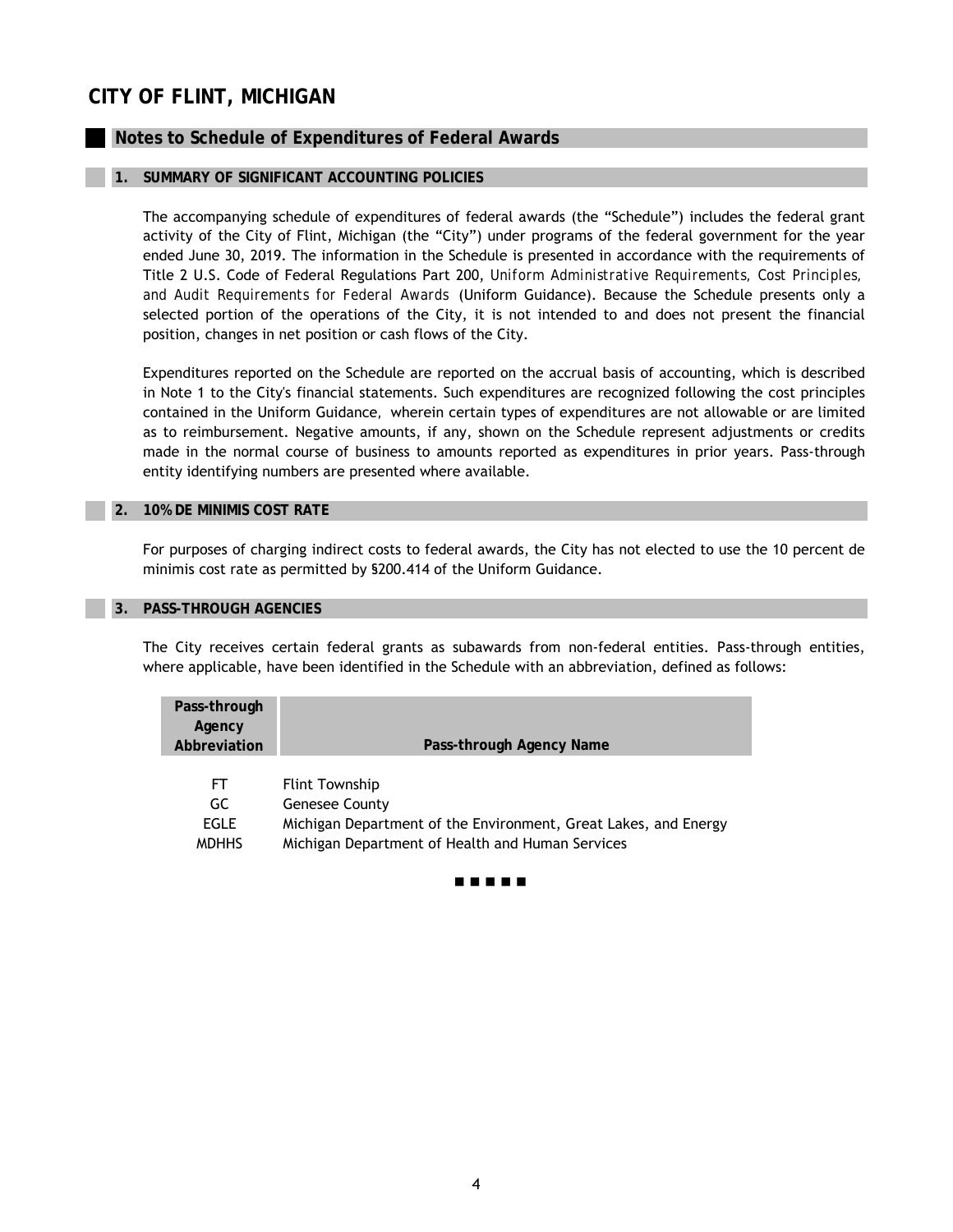### **Notes to Schedule of Expenditures of Federal Awards**

#### **1. SUMMARY OF SIGNIFICANT ACCOUNTING POLICIES**

The accompanying schedule of expenditures of federal awards (the "Schedule") includes the federal grant activity of the City of Flint, Michigan (the "City") under programs of the federal government for the year ended June 30, 2019. The information in the Schedule is presented in accordance with the requirements of Title 2 U.S. Code of Federal Regulations Part 200, *Uniform Administrative Requirements, Cost Principles, and Audit Requirements for Federal Awards* (Uniform Guidance). Because the Schedule presents only a selected portion of the operations of the City, it is not intended to and does not present the financial position, changes in net position or cash flows of the City.

Expenditures reported on the Schedule are reported on the accrual basis of accounting, which is described in Note 1 to the City's financial statements. Such expenditures are recognized following the cost principles contained in the Uniform Guidance*,* wherein certain types of expenditures are not allowable or are limited as to reimbursement. Negative amounts, if any, shown on the Schedule represent adjustments or credits made in the normal course of business to amounts reported as expenditures in prior years. Pass-through entity identifying numbers are presented where available.

#### **2. 10% DE MINIMIS COST RATE**

For purposes of charging indirect costs to federal awards, the City has not elected to use the 10 percent de minimis cost rate as permitted by §200.414 of the Uniform Guidance.

#### **3. PASS-THROUGH AGENCIES**

The City receives certain federal grants as subawards from non-federal entities. Pass-through entities, where applicable, have been identified in the Schedule with an abbreviation, defined as follows:

| Pass-through<br>Agency<br>Abbreviation | Pass-through Agency Name                                        |
|----------------------------------------|-----------------------------------------------------------------|
| FT.                                    | <b>Flint Township</b>                                           |
| GC                                     | <b>Genesee County</b>                                           |
| <b>EGLE</b>                            | Michigan Department of the Environment, Great Lakes, and Energy |
| <b>MDHHS</b>                           | Michigan Department of Health and Human Services                |

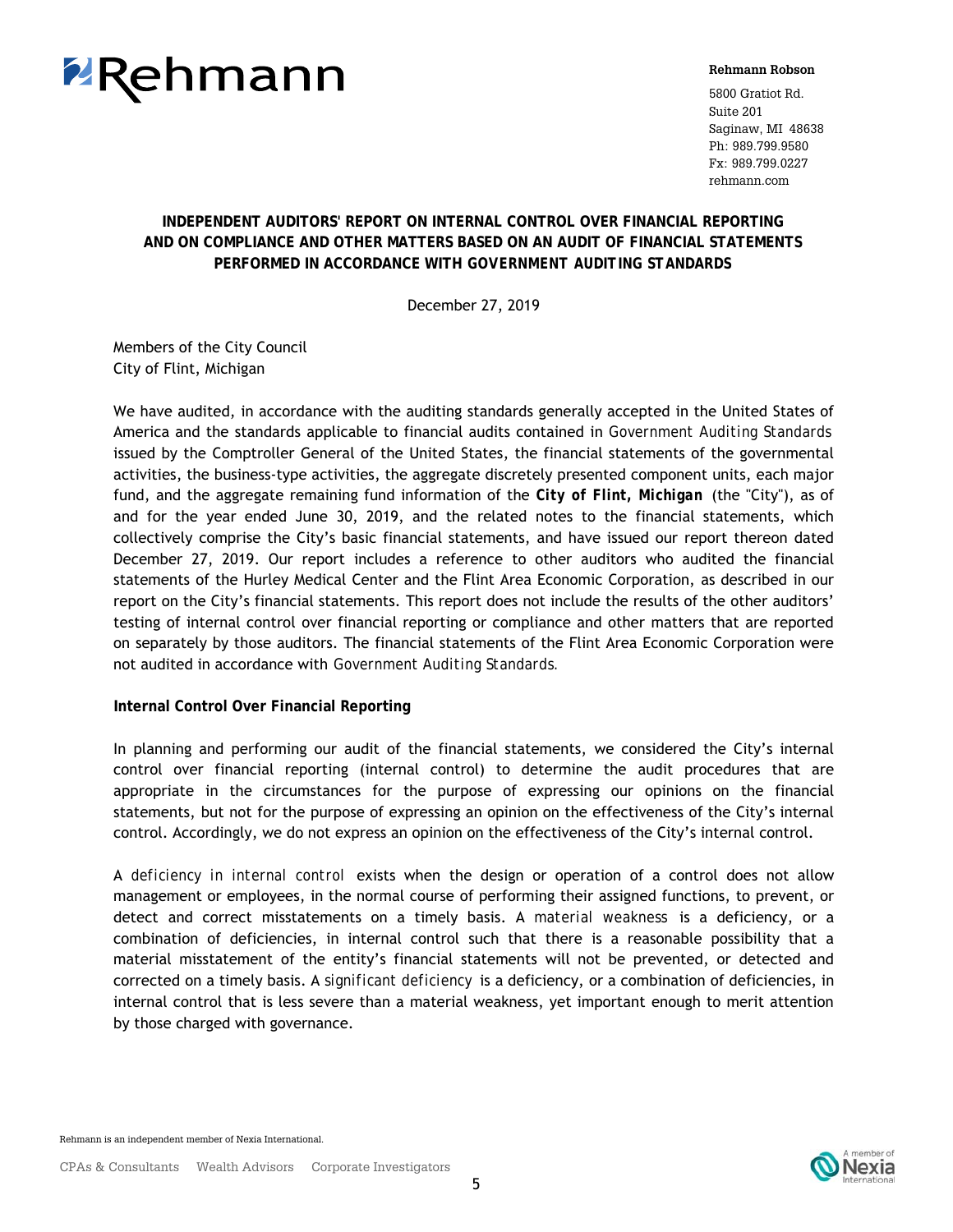

#### **Rehmann Robson**

5800 Gratiot Rd. Suite 201 Saginaw, MI 48638 Ph: 989.799.9580 Fx: 989.799.0227 rehmann.com

### **INDEPENDENT AUDITORS' REPORT ON INTERNAL CONTROL OVER FINANCIAL REPORTING AND ON COMPLIANCE AND OTHER MATTERS BASED ON AN AUDIT OF FINANCIAL STATEMENTS PERFORMED IN ACCORDANCE WITH** *GOVERNMENT AUDITING STANDARDS*

December 27, 2019

Members of the City Council City of Flint, Michigan

We have audited, in accordance with the auditing standards generally accepted in the United States of America and the standards applicable to financial audits contained in *Government Auditing Standards* issued by the Comptroller General of the United States, the financial statements of the governmental activities, the business-type activities, the aggregate discretely presented component units, each major fund, and the aggregate remaining fund information of the *City of Flint, Michigan* (the "City"), as of and for the year ended June 30, 2019, and the related notes to the financial statements, which collectively comprise the City's basic financial statements, and have issued our report thereon dated December 27, 2019. Our report includes a reference to other auditors who audited the financial statements of the Hurley Medical Center and the Flint Area Economic Corporation, as described in our report on the City's financial statements. This report does not include the results of the other auditors' testing of internal control over financial reporting or compliance and other matters that are reported on separately by those auditors. The financial statements of the Flint Area Economic Corporation were not audited in accordance with *Government Auditing Standards.*

#### **Internal Control Over Financial Reporting**

In planning and performing our audit of the financial statements, we considered the City's internal control over financial reporting (internal control) to determine the audit procedures that are appropriate in the circumstances for the purpose of expressing our opinions on the financial statements, but not for the purpose of expressing an opinion on the effectiveness of the City's internal control. Accordingly, we do not express an opinion on the effectiveness of the City's internal control.

A *deficiency in internal control* exists when the design or operation of a control does not allow management or employees, in the normal course of performing their assigned functions, to prevent, or detect and correct misstatements on a timely basis. A *material weakness* is a deficiency, or a combination of deficiencies, in internal control such that there is a reasonable possibility that a material misstatement of the entity's financial statements will not be prevented, or detected and corrected on a timely basis. A *significant deficiency* is a deficiency, or a combination of deficiencies, in internal control that is less severe than a material weakness, yet important enough to merit attention by those charged with governance.

Rehmann is an independent member of Nexia International.

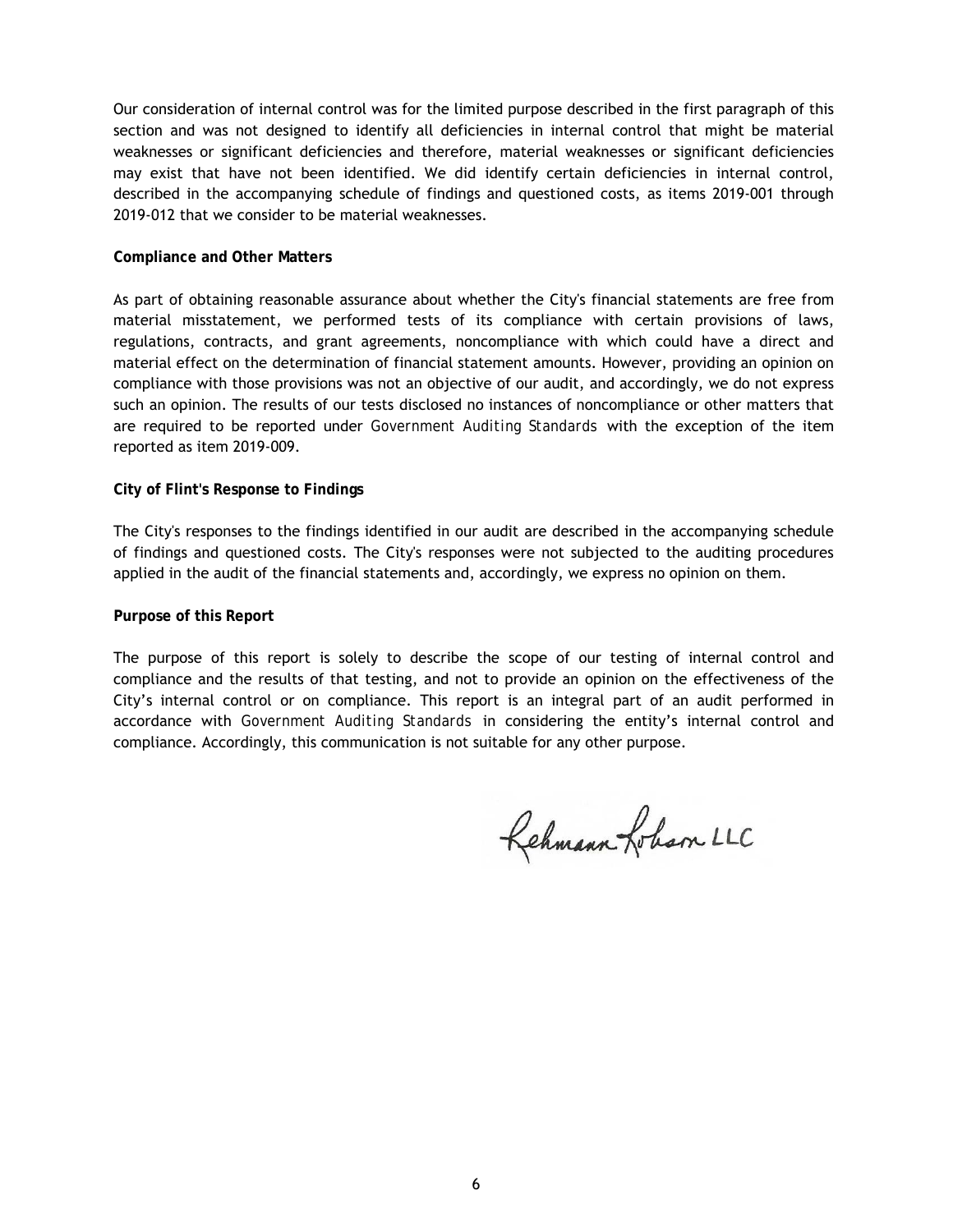Our consideration of internal control was for the limited purpose described in the first paragraph of this section and was not designed to identify all deficiencies in internal control that might be material weaknesses or significant deficiencies and therefore, material weaknesses or significant deficiencies may exist that have not been identified. We did identify certain deficiencies in internal control, described in the accompanying schedule of findings and questioned costs, as items 2019-001 through 2019-012 that we consider to be material weaknesses.

#### **Compliance and Other Matters**

As part of obtaining reasonable assurance about whether the City's financial statements are free from material misstatement, we performed tests of its compliance with certain provisions of laws, regulations, contracts, and grant agreements, noncompliance with which could have a direct and material effect on the determination of financial statement amounts. However, providing an opinion on compliance with those provisions was not an objective of our audit, and accordingly, we do not express such an opinion. The results of our tests disclosed no instances of noncompliance or other matters that are required to be reported under *Government Auditing Standards* with the exception of the item reported as item 2019-009.

#### **City of Flint's Response to Findings**

The City's responses to the findings identified in our audit are described in the accompanying schedule of findings and questioned costs. The City's responses were not subjected to the auditing procedures applied in the audit of the financial statements and, accordingly, we express no opinion on them.

#### **Purpose of this Report**

The purpose of this report is solely to describe the scope of our testing of internal control and compliance and the results of that testing, and not to provide an opinion on the effectiveness of the City's internal control or on compliance. This report is an integral part of an audit performed in accordance with *Government Auditing Standards* in considering the entity's internal control and compliance. Accordingly, this communication is not suitable for any other purpose.

Rehmann Lobam LLC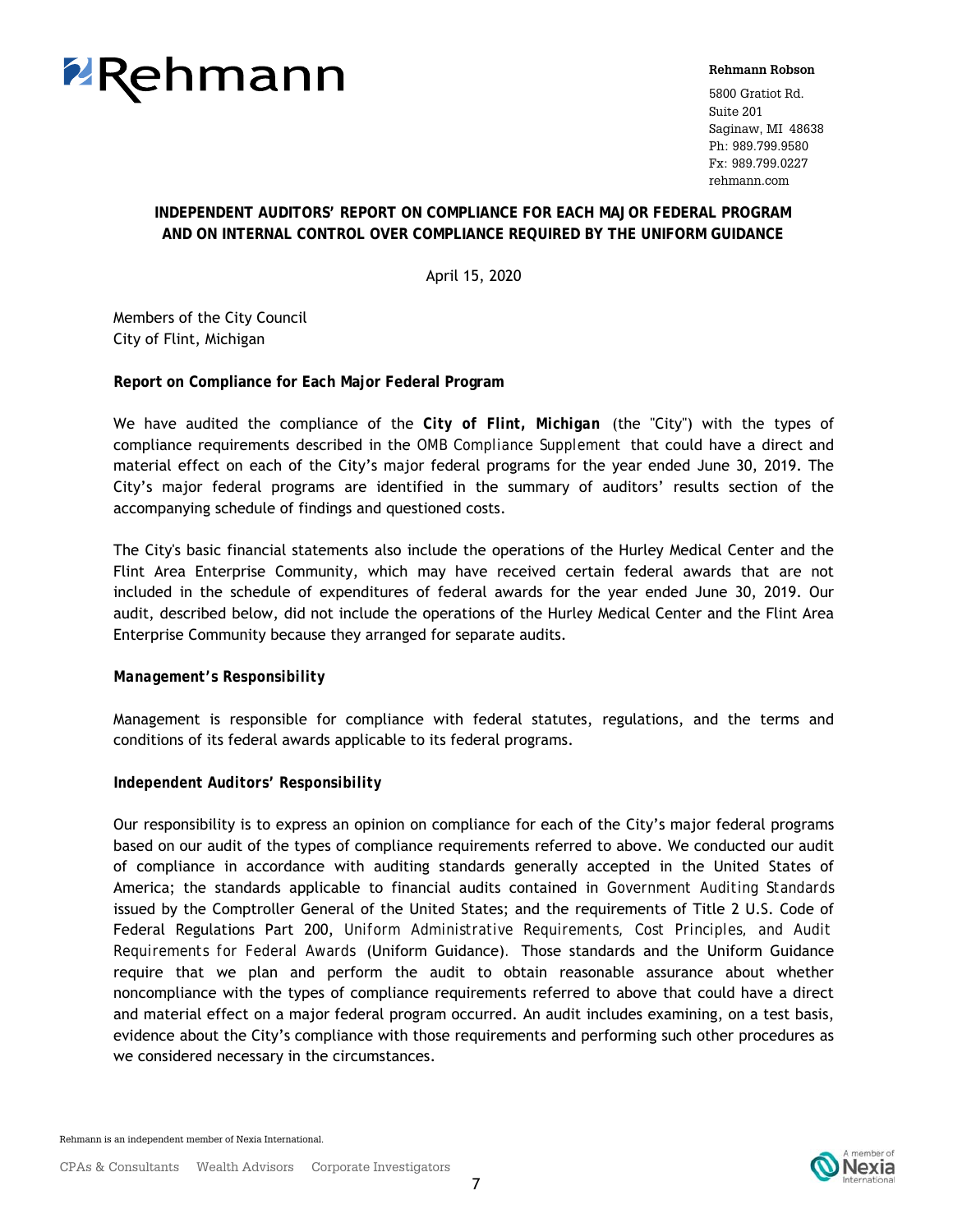

#### **Rehmann Robson**

5800 Gratiot Rd. Suite 201 Saginaw, MI 48638 Ph: 989.799.9580 Fx: 989.799.0227 rehmann.com

### **INDEPENDENT AUDITORS' REPORT ON COMPLIANCE FOR EACH MAJOR FEDERAL PROGRAM AND ON INTERNAL CONTROL OVER COMPLIANCE REQUIRED BY THE UNIFORM GUIDANCE**

April 15, 2020

Members of the City Council City of Flint, Michigan

**Report on Compliance for Each Major Federal Program**

We have audited the compliance of the *City of Flint, Michigan* (the "City") with the types of compliance requirements described in the *OMB Compliance Supplement* that could have a direct and material effect on each of the City's major federal programs for the year ended June 30, 2019. The City's major federal programs are identified in the summary of auditors' results section of the accompanying schedule of findings and questioned costs.

The City's basic financial statements also include the operations of the Hurley Medical Center and the Flint Area Enterprise Community, which may have received certain federal awards that are not included in the schedule of expenditures of federal awards for the year ended June 30, 2019. Our audit, described below, did not include the operations of the Hurley Medical Center and the Flint Area Enterprise Community because they arranged for separate audits.

#### *Management's Responsibility*

Management is responsible for compliance with federal statutes, regulations, and the terms and conditions of its federal awards applicable to its federal programs.

### *Independent Auditors' Responsibility*

Our responsibility is to express an opinion on compliance for each of the City's major federal programs based on our audit of the types of compliance requirements referred to above. We conducted our audit of compliance in accordance with auditing standards generally accepted in the United States of America; the standards applicable to financial audits contained in *Government Auditing Standards* issued by the Comptroller General of the United States; and the requirements of Title 2 U.S. Code of Federal Regulations Part 200, *Uniform Administrative Requirements, Cost Principles, and Audit Requirements for Federal Awards* (Uniform Guidance)*.* Those standards and the Uniform Guidance require that we plan and perform the audit to obtain reasonable assurance about whether noncompliance with the types of compliance requirements referred to above that could have a direct and material effect on a major federal program occurred. An audit includes examining, on a test basis, evidence about the City's compliance with those requirements and performing such other procedures as we considered necessary in the circumstances.

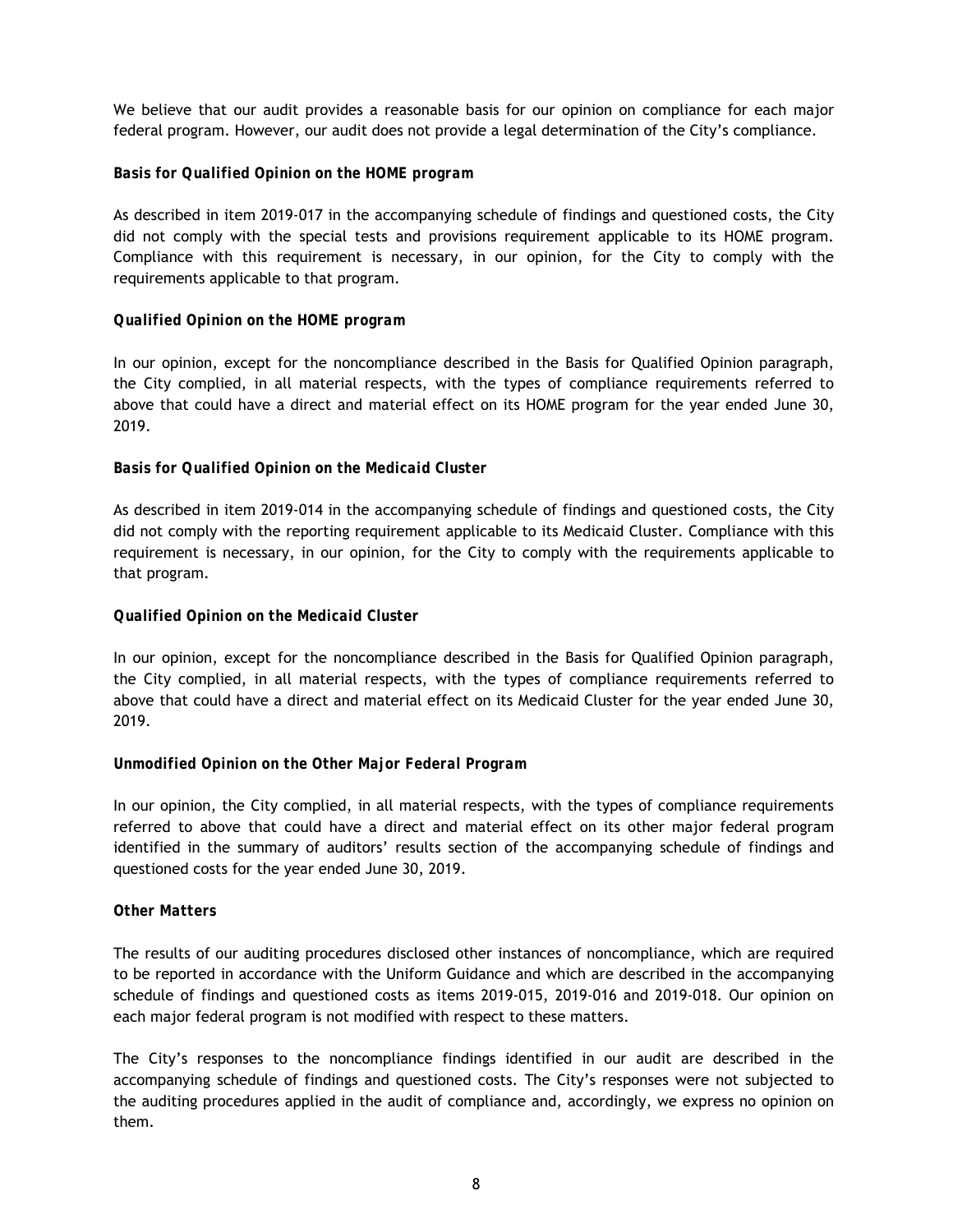We believe that our audit provides a reasonable basis for our opinion on compliance for each major federal program. However, our audit does not provide a legal determination of the City's compliance.

### *Basis for Qualified Opinion on the HOME program*

As described in item 2019-017 in the accompanying schedule of findings and questioned costs, the City did not comply with the special tests and provisions requirement applicable to its HOME program. Compliance with this requirement is necessary, in our opinion, for the City to comply with the requirements applicable to that program.

#### *Qualified Opinion on the HOME program*

In our opinion, except for the noncompliance described in the Basis for Qualified Opinion paragraph, the City complied, in all material respects, with the types of compliance requirements referred to above that could have a direct and material effect on its HOME program for the year ended June 30, 2019.

#### *Basis for Qualified Opinion on the Medicaid Cluster*

As described in item 2019-014 in the accompanying schedule of findings and questioned costs, the City did not comply with the reporting requirement applicable to its Medicaid Cluster. Compliance with this requirement is necessary, in our opinion, for the City to comply with the requirements applicable to that program.

#### *Qualified Opinion on the Medicaid Cluster*

In our opinion, except for the noncompliance described in the Basis for Qualified Opinion paragraph, the City complied, in all material respects, with the types of compliance requirements referred to above that could have a direct and material effect on its Medicaid Cluster for the year ended June 30, 2019.

#### *Unmodified Opinion on the Other Major Federal Program*

In our opinion, the City complied, in all material respects, with the types of compliance requirements referred to above that could have a direct and material effect on its other major federal program identified in the summary of auditors' results section of the accompanying schedule of findings and questioned costs for the year ended June 30, 2019.

#### *Other Matters*

The results of our auditing procedures disclosed other instances of noncompliance, which are required to be reported in accordance with the Uniform Guidance and which are described in the accompanying schedule of findings and questioned costs as items 2019-015, 2019-016 and 2019-018. Our opinion on each major federal program is not modified with respect to these matters.

The City's responses to the noncompliance findings identified in our audit are described in the accompanying schedule of findings and questioned costs. The City's responses were not subjected to the auditing procedures applied in the audit of compliance and, accordingly, we express no opinion on them.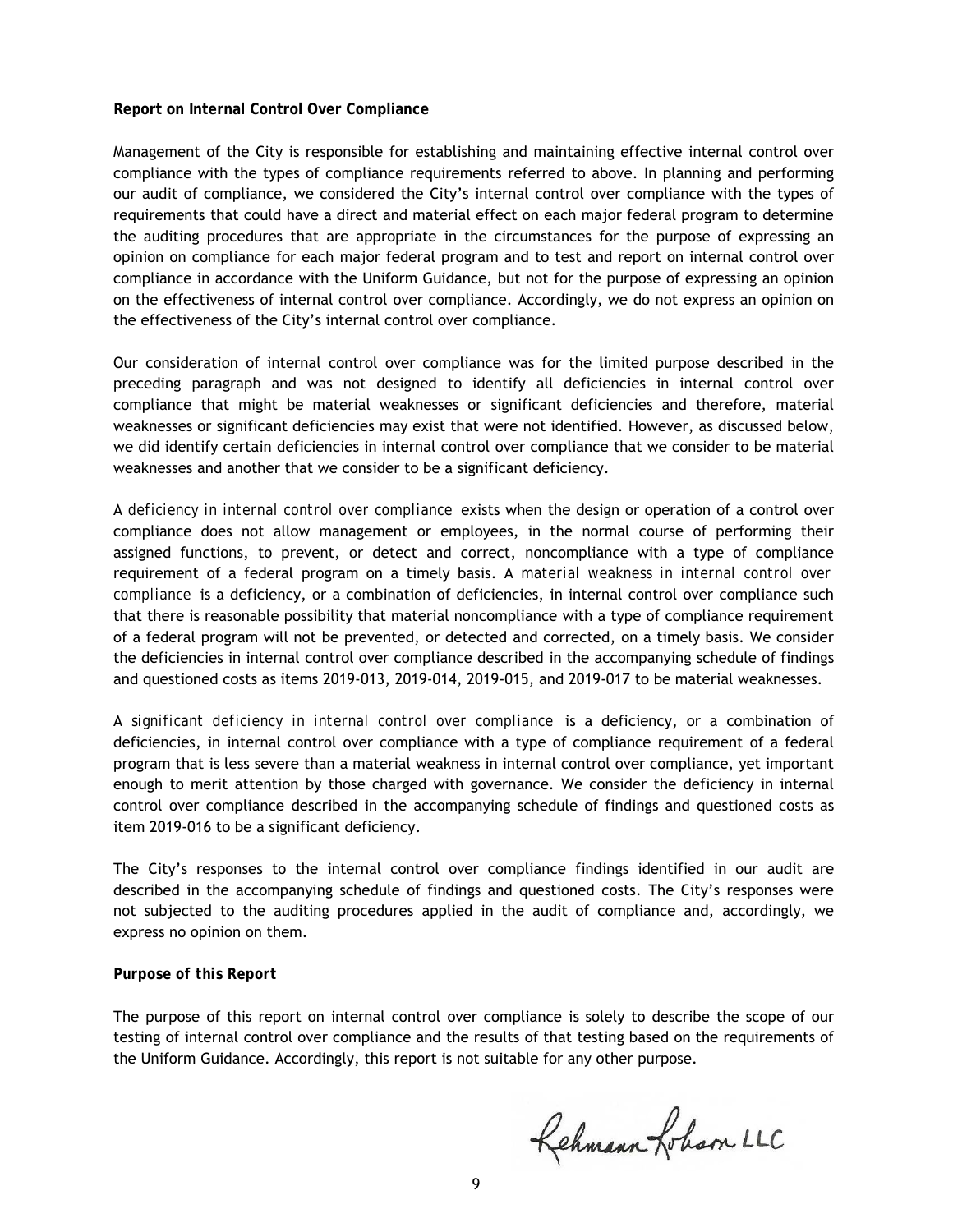#### **Report on Internal Control Over Compliance**

Management of the City is responsible for establishing and maintaining effective internal control over compliance with the types of compliance requirements referred to above. In planning and performing our audit of compliance, we considered the City's internal control over compliance with the types of requirements that could have a direct and material effect on each major federal program to determine the auditing procedures that are appropriate in the circumstances for the purpose of expressing an opinion on compliance for each major federal program and to test and report on internal control over compliance in accordance with the Uniform Guidance, but not for the purpose of expressing an opinion on the effectiveness of internal control over compliance. Accordingly, we do not express an opinion on the effectiveness of the City's internal control over compliance.

Our consideration of internal control over compliance was for the limited purpose described in the preceding paragraph and was not designed to identify all deficiencies in internal control over compliance that might be material weaknesses or significant deficiencies and therefore, material weaknesses or significant deficiencies may exist that were not identified. However, as discussed below, we did identify certain deficiencies in internal control over compliance that we consider to be material weaknesses and another that we consider to be a significant deficiency.

A *deficiency in internal control over compliance* exists when the design or operation of a control over compliance does not allow management or employees, in the normal course of performing their assigned functions, to prevent, or detect and correct, noncompliance with a type of compliance requirement of a federal program on a timely basis. A *material weakness in internal control over compliance* is a deficiency, or a combination of deficiencies, in internal control over compliance such that there is reasonable possibility that material noncompliance with a type of compliance requirement of a federal program will not be prevented, or detected and corrected, on a timely basis. We consider the deficiencies in internal control over compliance described in the accompanying schedule of findings and questioned costs as items 2019-013, 2019-014, 2019-015, and 2019-017 to be material weaknesses.

A *significant deficiency in internal control over compliance* is a deficiency, or a combination of deficiencies, in internal control over compliance with a type of compliance requirement of a federal program that is less severe than a material weakness in internal control over compliance, yet important enough to merit attention by those charged with governance. We consider the deficiency in internal control over compliance described in the accompanying schedule of findings and questioned costs as item 2019-016 to be a significant deficiency.

The City's responses to the internal control over compliance findings identified in our audit are described in the accompanying schedule of findings and questioned costs. The City's responses were not subjected to the auditing procedures applied in the audit of compliance and, accordingly, we express no opinion on them.

#### *Purpose of this Report*

The purpose of this report on internal control over compliance is solely to describe the scope of our testing of internal control over compliance and the results of that testing based on the requirements of the Uniform Guidance. Accordingly, this report is not suitable for any other purpose.

Rehmann Lobson LLC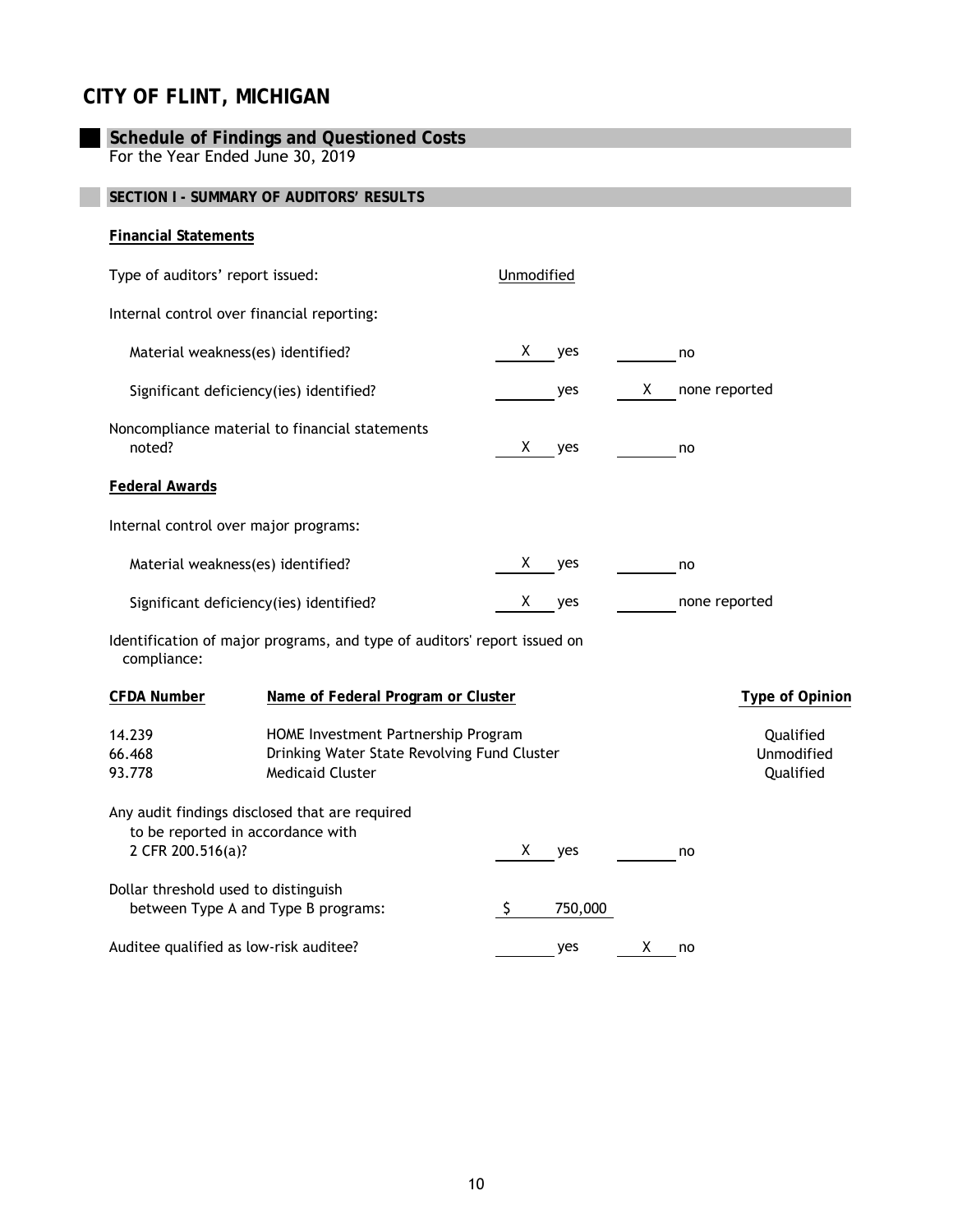| For the Year Ended June 30, 2019                         | <b>Schedule of Findings and Questioned Costs</b>                                                              |            |         |    |                                      |  |
|----------------------------------------------------------|---------------------------------------------------------------------------------------------------------------|------------|---------|----|--------------------------------------|--|
| SECTION I - SUMMARY OF AUDITORS' RESULTS                 |                                                                                                               |            |         |    |                                      |  |
| <b>Financial Statements</b>                              |                                                                                                               |            |         |    |                                      |  |
| Type of auditors' report issued:                         |                                                                                                               | Unmodified |         |    |                                      |  |
| Internal control over financial reporting:               |                                                                                                               |            |         |    |                                      |  |
| Material weakness(es) identified?                        |                                                                                                               | X.         | yes     |    | no                                   |  |
| Significant deficiency(ies) identified?                  |                                                                                                               |            | yes     | X. | none reported                        |  |
| Noncompliance material to financial statements<br>noted? |                                                                                                               |            | X yes   |    | no                                   |  |
| <b>Federal Awards</b>                                    |                                                                                                               |            |         |    |                                      |  |
| Internal control over major programs:                    |                                                                                                               |            |         |    |                                      |  |
| Material weakness(es) identified?                        |                                                                                                               | X.         | yes     |    | no                                   |  |
| Significant deficiency(ies) identified?                  |                                                                                                               |            | yes     |    | none reported                        |  |
| compliance:                                              | Identification of major programs, and type of auditors' report issued on                                      |            |         |    |                                      |  |
| <b>CFDA Number</b>                                       | Name of Federal Program or Cluster                                                                            |            |         |    | <b>Type of Opinion</b>               |  |
| 14.239<br>66.468<br>93.778                               | HOME Investment Partnership Program<br>Drinking Water State Revolving Fund Cluster<br><b>Medicaid Cluster</b> |            |         |    | Qualified<br>Unmodified<br>Qualified |  |
| to be reported in accordance with<br>2 CFR 200.516(a)?   | Any audit findings disclosed that are required                                                                | X.         | yes     |    | no                                   |  |
| Dollar threshold used to distinguish                     | between Type A and Type B programs:                                                                           | Ş.         | 750,000 |    |                                      |  |
| Auditee qualified as low-risk auditee?                   |                                                                                                               |            | yes     | X  | no                                   |  |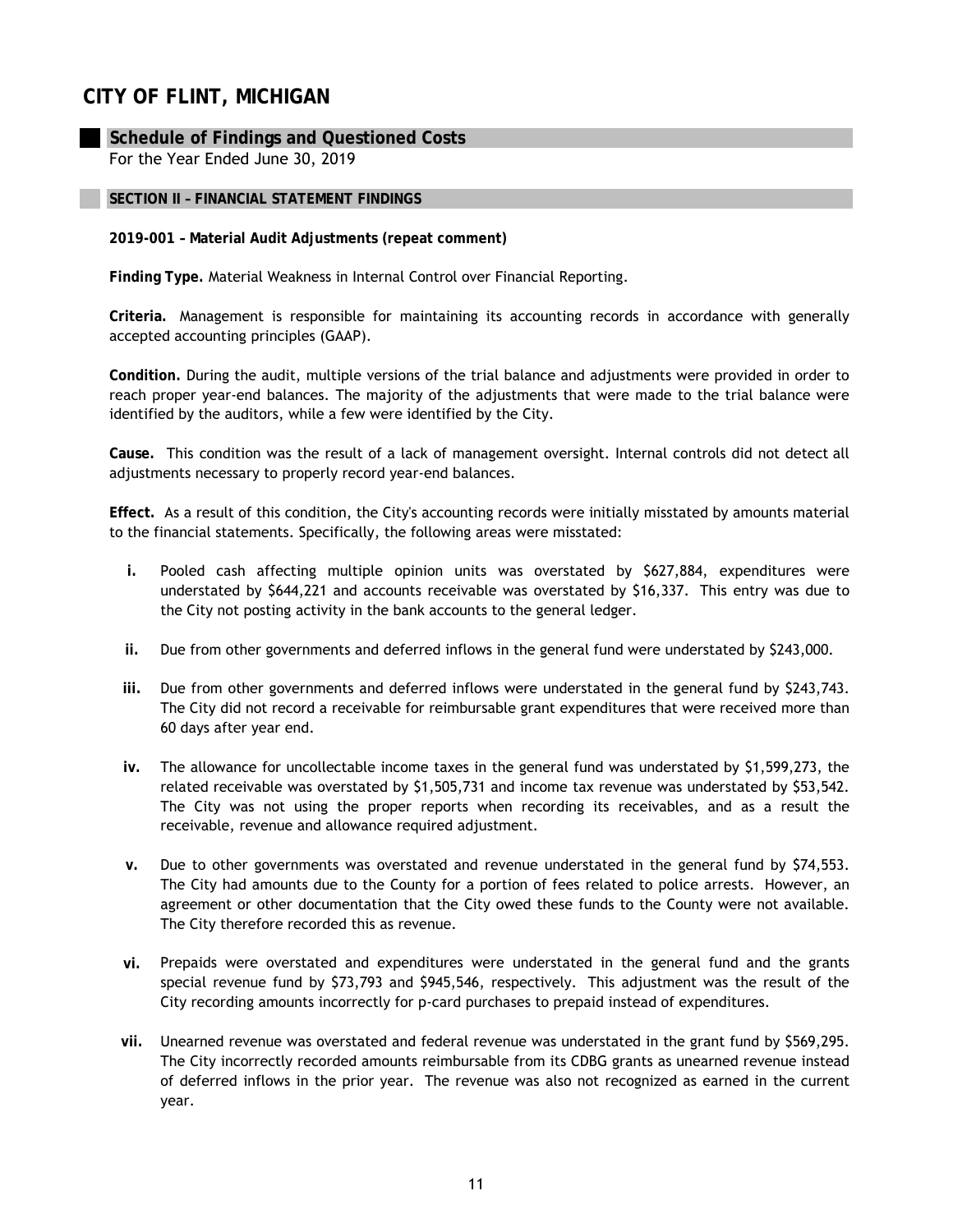#### **Schedule of Findings and Questioned Costs**

For the Year Ended June 30, 2019

#### **SECTION II – FINANCIAL STATEMENT FINDINGS**

**2019-001 – Material Audit Adjustments (repeat comment)**

**Finding Type.** Material Weakness in Internal Control over Financial Reporting.

**Criteria.** Management is responsible for maintaining its accounting records in accordance with generally accepted accounting principles (GAAP).

**Condition.** During the audit, multiple versions of the trial balance and adjustments were provided in order to reach proper year-end balances. The majority of the adjustments that were made to the trial balance were identified by the auditors, while a few were identified by the City.

**Cause.** This condition was the result of a lack of management oversight. Internal controls did not detect all adjustments necessary to properly record year-end balances.

**Effect.** As a result of this condition, the City's accounting records were initially misstated by amounts material to the financial statements. Specifically, the following areas were misstated:

- **i.** Pooled cash affecting multiple opinion units was overstated by \$627,884, expenditures were understated by \$644,221 and accounts receivable was overstated by \$16,337. This entry was due to the City not posting activity in the bank accounts to the general ledger.
- **ii.** Due from other governments and deferred inflows in the general fund were understated by \$243,000.
- **iii.** Due from other governments and deferred inflows were understated in the general fund by \$243,743. The City did not record a receivable for reimbursable grant expenditures that were received more than 60 days after year end.
- **iv.** The allowance for uncollectable income taxes in the general fund was understated by \$1,599,273, the related receivable was overstated by \$1,505,731 and income tax revenue was understated by \$53,542. The City was not using the proper reports when recording its receivables, and as a result the receivable, revenue and allowance required adjustment.
- **v.** Due to other governments was overstated and revenue understated in the general fund by \$74,553. The City had amounts due to the County for a portion of fees related to police arrests. However, an agreement or other documentation that the City owed these funds to the County were not available. The City therefore recorded this as revenue.
- **vi.** Prepaids were overstated and expenditures were understated in the general fund and the grants special revenue fund by \$73,793 and \$945,546, respectively. This adjustment was the result of the City recording amounts incorrectly for p-card purchases to prepaid instead of expenditures.
- **vii.** Unearned revenue was overstated and federal revenue was understated in the grant fund by \$569,295. The City incorrectly recorded amounts reimbursable from its CDBG grants as unearned revenue instead of deferred inflows in the prior year. The revenue was also not recognized as earned in the current year.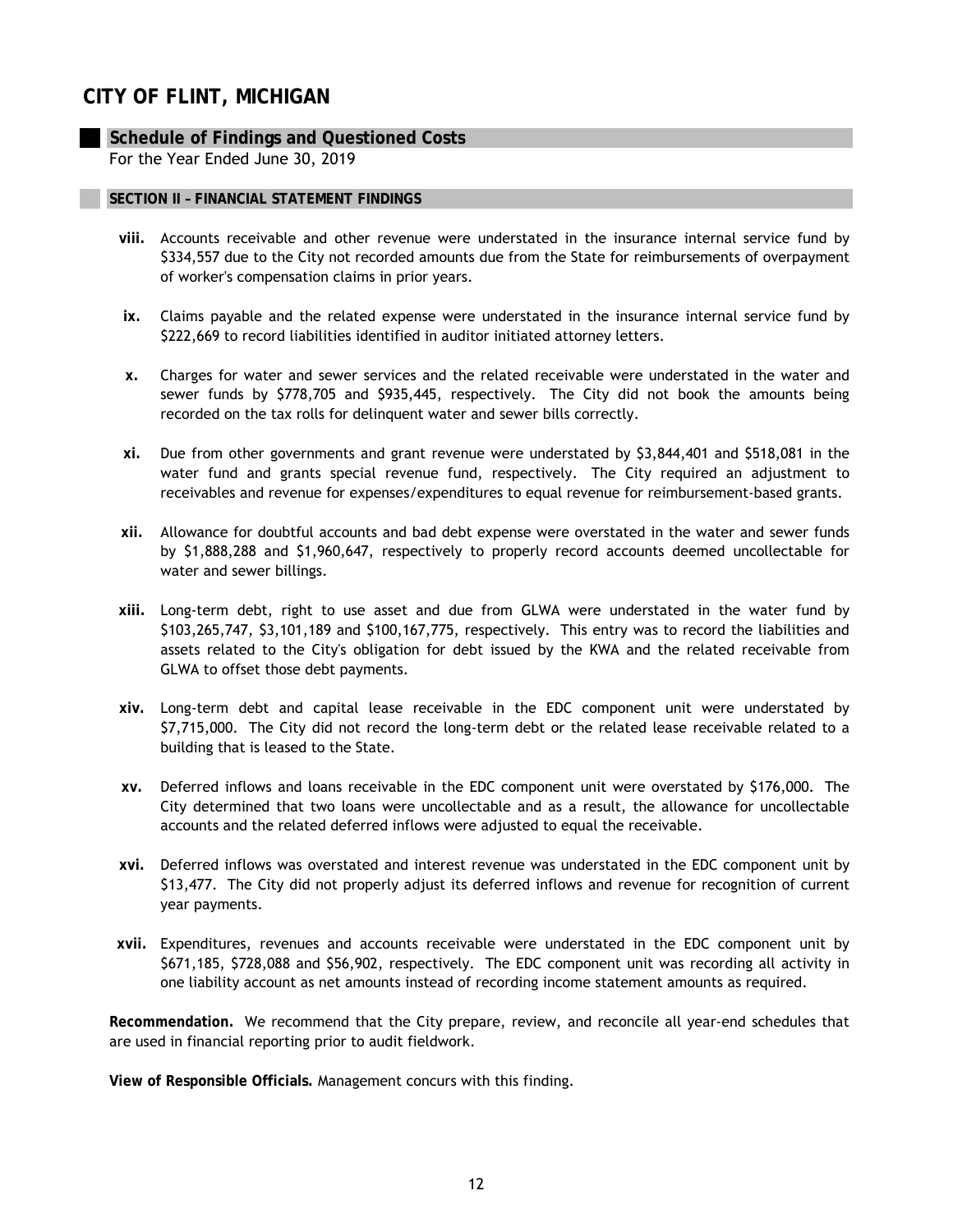#### **Schedule of Findings and Questioned Costs**

For the Year Ended June 30, 2019

#### **SECTION II – FINANCIAL STATEMENT FINDINGS**

- **viii.** Accounts receivable and other revenue were understated in the insurance internal service fund by \$334,557 due to the City not recorded amounts due from the State for reimbursements of overpayment of worker's compensation claims in prior years.
- **ix.** Claims payable and the related expense were understated in the insurance internal service fund by \$222,669 to record liabilities identified in auditor initiated attorney letters.
- **x.** Charges for water and sewer services and the related receivable were understated in the water and sewer funds by \$778,705 and \$935,445, respectively. The City did not book the amounts being recorded on the tax rolls for delinquent water and sewer bills correctly.
- **xi.** Due from other governments and grant revenue were understated by \$3,844,401 and \$518,081 in the water fund and grants special revenue fund, respectively. The City required an adjustment to receivables and revenue for expenses/expenditures to equal revenue for reimbursement-based grants.
- **xii.** Allowance for doubtful accounts and bad debt expense were overstated in the water and sewer funds by \$1,888,288 and \$1,960,647, respectively to properly record accounts deemed uncollectable for water and sewer billings.
- **xiii.** Long-term debt, right to use asset and due from GLWA were understated in the water fund by \$103,265,747, \$3,101,189 and \$100,167,775, respectively. This entry was to record the liabilities and assets related to the City's obligation for debt issued by the KWA and the related receivable from GLWA to offset those debt payments.
- **xiv.** Long-term debt and capital lease receivable in the EDC component unit were understated by \$7,715,000. The City did not record the long-term debt or the related lease receivable related to a building that is leased to the State.
- **xv.** Deferred inflows and loans receivable in the EDC component unit were overstated by \$176,000. The City determined that two loans were uncollectable and as a result, the allowance for uncollectable accounts and the related deferred inflows were adjusted to equal the receivable.
- **xvi.** Deferred inflows was overstated and interest revenue was understated in the EDC component unit by \$13,477. The City did not properly adjust its deferred inflows and revenue for recognition of current year payments.
- **xvii.** Expenditures, revenues and accounts receivable were understated in the EDC component unit by \$671,185, \$728,088 and \$56,902, respectively. The EDC component unit was recording all activity in one liability account as net amounts instead of recording income statement amounts as required.

**Recommendation.** We recommend that the City prepare, review, and reconcile all year-end schedules that are used in financial reporting prior to audit fieldwork.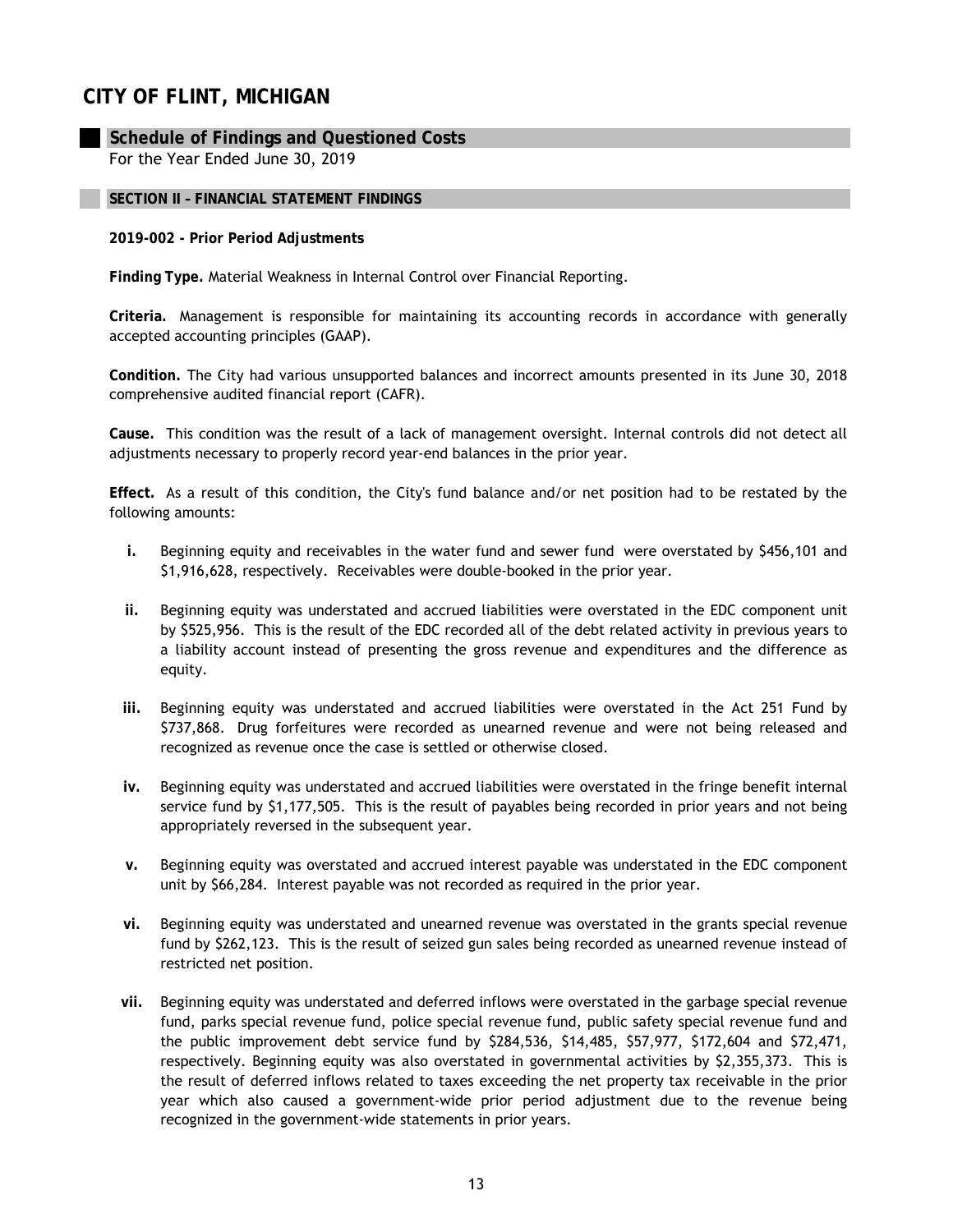#### **Schedule of Findings and Questioned Costs**

For the Year Ended June 30, 2019

#### **SECTION II – FINANCIAL STATEMENT FINDINGS**

**2019-002 - Prior Period Adjustments**

**Finding Type.** Material Weakness in Internal Control over Financial Reporting.

**Criteria.** Management is responsible for maintaining its accounting records in accordance with generally accepted accounting principles (GAAP).

**Condition.** The City had various unsupported balances and incorrect amounts presented in its June 30, 2018 comprehensive audited financial report (CAFR).

**Cause.** This condition was the result of a lack of management oversight. Internal controls did not detect all adjustments necessary to properly record year-end balances in the prior year.

**Effect.** As a result of this condition, the City's fund balance and/or net position had to be restated by the following amounts:

- **i.** Beginning equity and receivables in the water fund and sewer fund were overstated by \$456,101 and \$1,916,628, respectively. Receivables were double-booked in the prior year.
- **ii.** Beginning equity was understated and accrued liabilities were overstated in the EDC component unit by \$525,956. This is the result of the EDC recorded all of the debt related activity in previous years to a liability account instead of presenting the gross revenue and expenditures and the difference as equity.
- **iii.** Beginning equity was understated and accrued liabilities were overstated in the Act 251 Fund by \$737,868. Drug forfeitures were recorded as unearned revenue and were not being released and recognized as revenue once the case is settled or otherwise closed.
- **iv.** Beginning equity was understated and accrued liabilities were overstated in the fringe benefit internal service fund by \$1,177,505. This is the result of payables being recorded in prior years and not being appropriately reversed in the subsequent year.
- **v.** Beginning equity was overstated and accrued interest payable was understated in the EDC component unit by \$66,284. Interest payable was not recorded as required in the prior year.
- **vi.** Beginning equity was understated and unearned revenue was overstated in the grants special revenue fund by \$262,123. This is the result of seized gun sales being recorded as unearned revenue instead of restricted net position.
- **vii.** Beginning equity was understated and deferred inflows were overstated in the garbage special revenue fund, parks special revenue fund, police special revenue fund, public safety special revenue fund and the public improvement debt service fund by \$284,536, \$14,485, \$57,977, \$172,604 and \$72,471, respectively. Beginning equity was also overstated in governmental activities by \$2,355,373. This is the result of deferred inflows related to taxes exceeding the net property tax receivable in the prior year which also caused a government-wide prior period adjustment due to the revenue being recognized in the government-wide statements in prior years.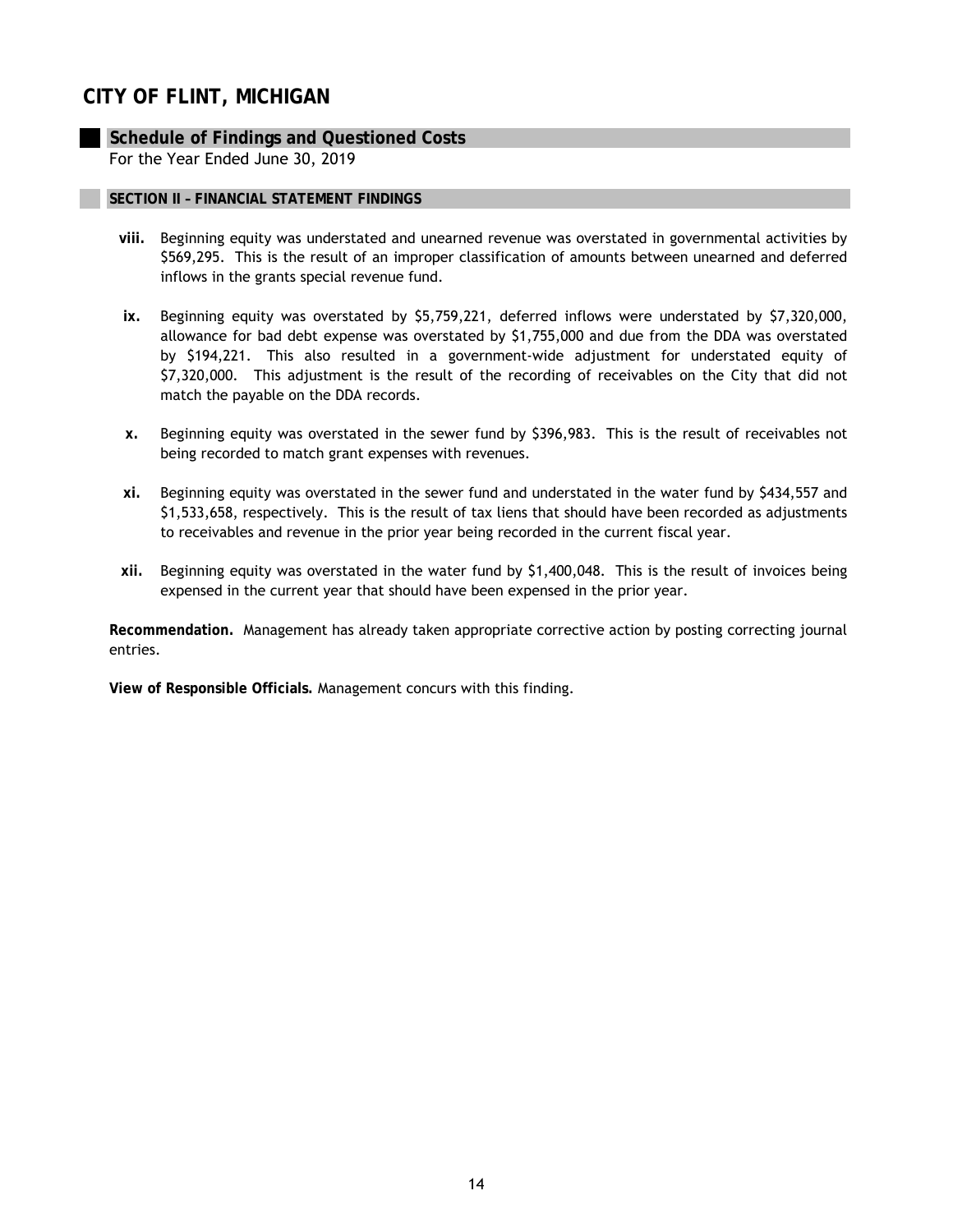#### **Schedule of Findings and Questioned Costs**

For the Year Ended June 30, 2019

#### **SECTION II – FINANCIAL STATEMENT FINDINGS**

- **viii.** Beginning equity was understated and unearned revenue was overstated in governmental activities by \$569,295. This is the result of an improper classification of amounts between unearned and deferred inflows in the grants special revenue fund.
- **ix.** Beginning equity was overstated by \$5,759,221, deferred inflows were understated by \$7,320,000, allowance for bad debt expense was overstated by \$1,755,000 and due from the DDA was overstated by \$194,221. This also resulted in a government-wide adjustment for understated equity of \$7,320,000. This adjustment is the result of the recording of receivables on the City that did not match the payable on the DDA records.
- **x.** Beginning equity was overstated in the sewer fund by \$396,983. This is the result of receivables not being recorded to match grant expenses with revenues.
- **xi.** Beginning equity was overstated in the sewer fund and understated in the water fund by \$434,557 and \$1,533,658, respectively. This is the result of tax liens that should have been recorded as adjustments to receivables and revenue in the prior year being recorded in the current fiscal year.
- **xii.** Beginning equity was overstated in the water fund by \$1,400,048. This is the result of invoices being expensed in the current year that should have been expensed in the prior year.

**Recommendation.** Management has already taken appropriate corrective action by posting correcting journal entries.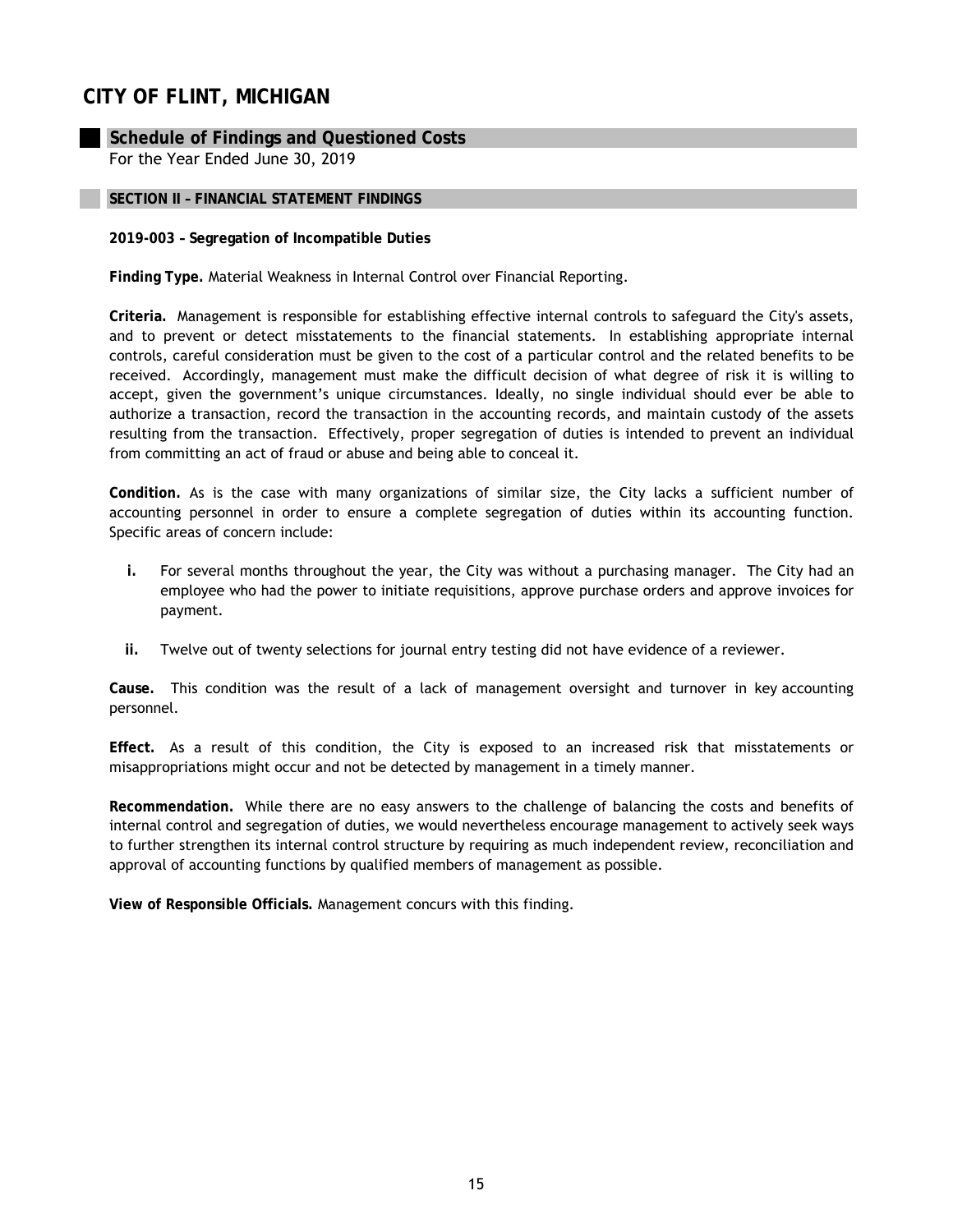### **Schedule of Findings and Questioned Costs**

For the Year Ended June 30, 2019

#### **SECTION II – FINANCIAL STATEMENT FINDINGS**

**2019-003 – Segregation of Incompatible Duties**

**Finding Type.** Material Weakness in Internal Control over Financial Reporting.

**Criteria.** Management is responsible for establishing effective internal controls to safeguard the City's assets, and to prevent or detect misstatements to the financial statements. In establishing appropriate internal controls, careful consideration must be given to the cost of a particular control and the related benefits to be received. Accordingly, management must make the difficult decision of what degree of risk it is willing to accept, given the government's unique circumstances. Ideally, no single individual should ever be able to authorize a transaction, record the transaction in the accounting records, and maintain custody of the assets resulting from the transaction. Effectively, proper segregation of duties is intended to prevent an individual from committing an act of fraud or abuse and being able to conceal it.

**Condition.** As is the case with many organizations of similar size, the City lacks a sufficient number of accounting personnel in order to ensure a complete segregation of duties within its accounting function. Specific areas of concern include:

- **i.** For several months throughout the year, the City was without a purchasing manager. The City had an employee who had the power to initiate requisitions, approve purchase orders and approve invoices for payment.
- **ii.** Twelve out of twenty selections for journal entry testing did not have evidence of a reviewer.

**Cause.** This condition was the result of a lack of management oversight and turnover in key accounting personnel.

**Effect.** As a result of this condition, the City is exposed to an increased risk that misstatements or misappropriations might occur and not be detected by management in a timely manner.

**Recommendation.** While there are no easy answers to the challenge of balancing the costs and benefits of internal control and segregation of duties, we would nevertheless encourage management to actively seek ways to further strengthen its internal control structure by requiring as much independent review, reconciliation and approval of accounting functions by qualified members of management as possible.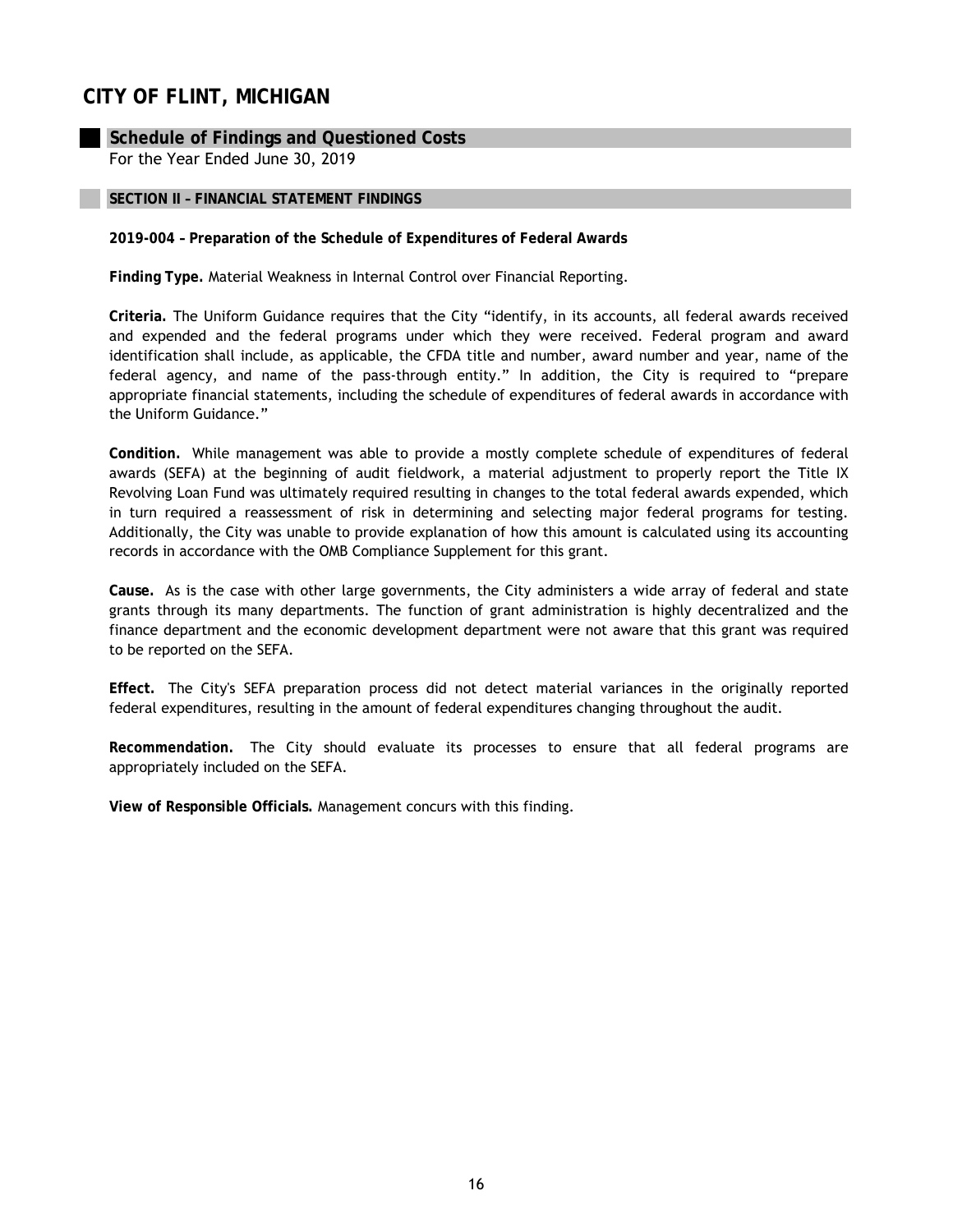#### **Schedule of Findings and Questioned Costs**

For the Year Ended June 30, 2019

#### **SECTION II – FINANCIAL STATEMENT FINDINGS**

#### **2019-004 – Preparation of the Schedule of Expenditures of Federal Awards**

**Finding Type.** Material Weakness in Internal Control over Financial Reporting.

**Criteria.** The Uniform Guidance requires that the City "identify, in its accounts, all federal awards received and expended and the federal programs under which they were received. Federal program and award identification shall include, as applicable, the CFDA title and number, award number and year, name of the federal agency, and name of the pass-through entity." In addition, the City is required to "prepare appropriate financial statements, including the schedule of expenditures of federal awards in accordance with the Uniform Guidance."

**Condition.** While management was able to provide a mostly complete schedule of expenditures of federal awards (SEFA) at the beginning of audit fieldwork, a material adjustment to properly report the Title IX Revolving Loan Fund was ultimately required resulting in changes to the total federal awards expended, which in turn required a reassessment of risk in determining and selecting major federal programs for testing. Additionally, the City was unable to provide explanation of how this amount is calculated using its accounting records in accordance with the OMB Compliance Supplement for this grant.

**Cause.** As is the case with other large governments, the City administers a wide array of federal and state grants through its many departments. The function of grant administration is highly decentralized and the finance department and the economic development department were not aware that this grant was required to be reported on the SEFA.

**Effect.** The City's SEFA preparation process did not detect material variances in the originally reported federal expenditures, resulting in the amount of federal expenditures changing throughout the audit.

**Recommendation.** The City should evaluate its processes to ensure that all federal programs are appropriately included on the SEFA.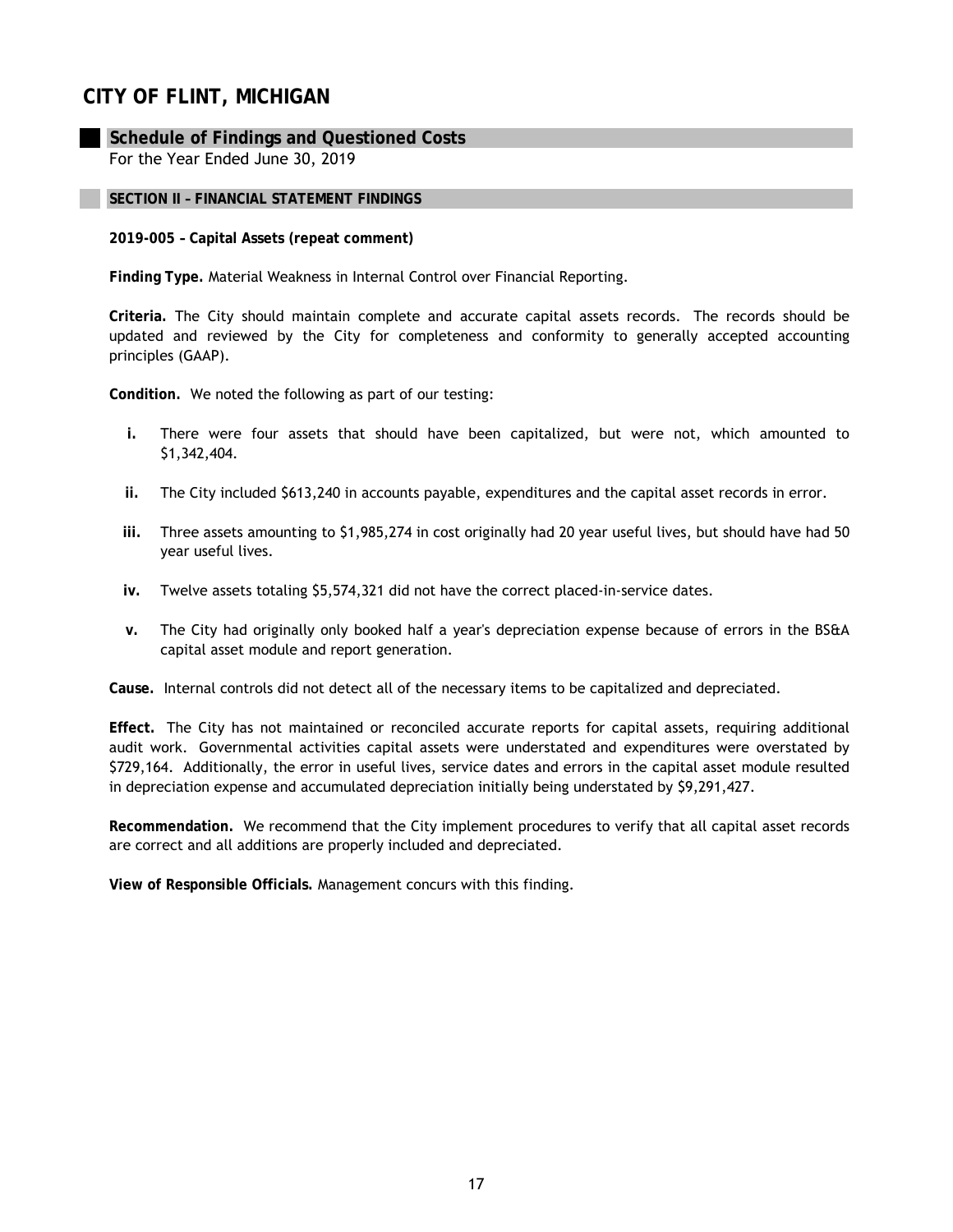**Schedule of Findings and Questioned Costs**

For the Year Ended June 30, 2019

#### **SECTION II – FINANCIAL STATEMENT FINDINGS**

**2019-005 – Capital Assets (repeat comment)**

**Finding Type.** Material Weakness in Internal Control over Financial Reporting.

**Criteria.** The City should maintain complete and accurate capital assets records. The records should be updated and reviewed by the City for completeness and conformity to generally accepted accounting principles (GAAP).

**Condition.** We noted the following as part of our testing:

- **i.** There were four assets that should have been capitalized, but were not, which amounted to \$1,342,404.
- **ii.** The City included \$613,240 in accounts payable, expenditures and the capital asset records in error.
- **iii.** Three assets amounting to \$1,985,274 in cost originally had 20 year useful lives, but should have had 50 year useful lives.
- **iv.** Twelve assets totaling \$5,574,321 did not have the correct placed-in-service dates.
- **v.** The City had originally only booked half a year's depreciation expense because of errors in the BS&A capital asset module and report generation.

**Cause.** Internal controls did not detect all of the necessary items to be capitalized and depreciated.

**Effect.** The City has not maintained or reconciled accurate reports for capital assets, requiring additional audit work. Governmental activities capital assets were understated and expenditures were overstated by \$729,164. Additionally, the error in useful lives, service dates and errors in the capital asset module resulted in depreciation expense and accumulated depreciation initially being understated by \$9,291,427.

**Recommendation.** We recommend that the City implement procedures to verify that all capital asset records are correct and all additions are properly included and depreciated.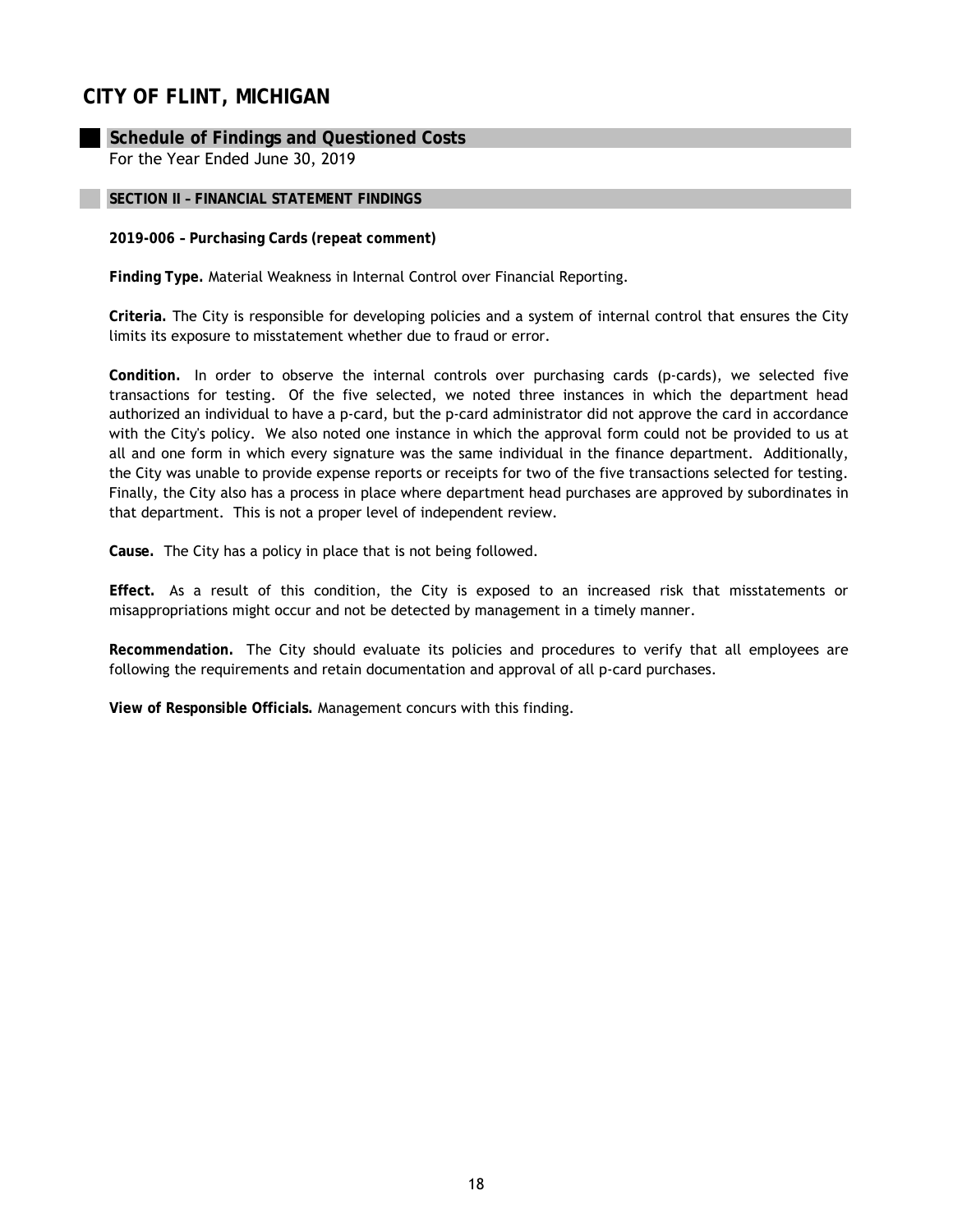#### **Schedule of Findings and Questioned Costs**

For the Year Ended June 30, 2019

#### **SECTION II – FINANCIAL STATEMENT FINDINGS**

**2019-006 – Purchasing Cards (repeat comment)**

**Finding Type.** Material Weakness in Internal Control over Financial Reporting.

**Criteria.** The City is responsible for developing policies and a system of internal control that ensures the City limits its exposure to misstatement whether due to fraud or error.

**Condition.** In order to observe the internal controls over purchasing cards (p-cards), we selected five transactions for testing. Of the five selected, we noted three instances in which the department head authorized an individual to have a p-card, but the p-card administrator did not approve the card in accordance with the City's policy. We also noted one instance in which the approval form could not be provided to us at all and one form in which every signature was the same individual in the finance department. Additionally, the City was unable to provide expense reports or receipts for two of the five transactions selected for testing. Finally, the City also has a process in place where department head purchases are approved by subordinates in that department. This is not a proper level of independent review.

**Cause.** The City has a policy in place that is not being followed.

**Effect.** As a result of this condition, the City is exposed to an increased risk that misstatements or misappropriations might occur and not be detected by management in a timely manner.

**Recommendation.** The City should evaluate its policies and procedures to verify that all employees are following the requirements and retain documentation and approval of all p-card purchases.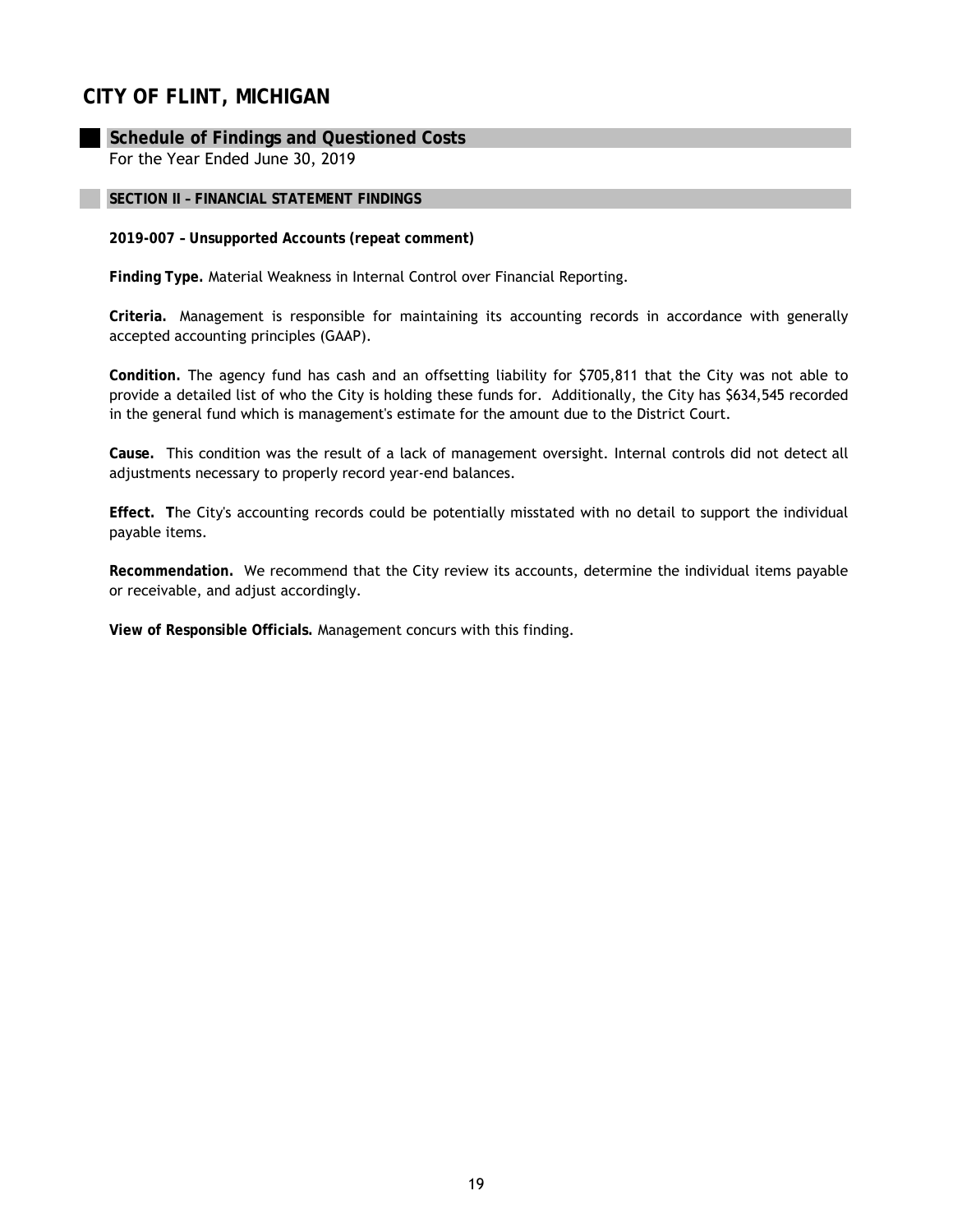#### **Schedule of Findings and Questioned Costs**

For the Year Ended June 30, 2019

#### **SECTION II – FINANCIAL STATEMENT FINDINGS**

**2019-007 – Unsupported Accounts (repeat comment)**

**Finding Type.** Material Weakness in Internal Control over Financial Reporting.

**Criteria.** Management is responsible for maintaining its accounting records in accordance with generally accepted accounting principles (GAAP).

**Condition.** The agency fund has cash and an offsetting liability for \$705,811 that the City was not able to provide a detailed list of who the City is holding these funds for. Additionally, the City has \$634,545 recorded in the general fund which is management's estimate for the amount due to the District Court.

**Cause.** This condition was the result of a lack of management oversight. Internal controls did not detect all adjustments necessary to properly record year-end balances.

**Effect. T**he City's accounting records could be potentially misstated with no detail to support the individual payable items.

**Recommendation.** We recommend that the City review its accounts, determine the individual items payable or receivable, and adjust accordingly.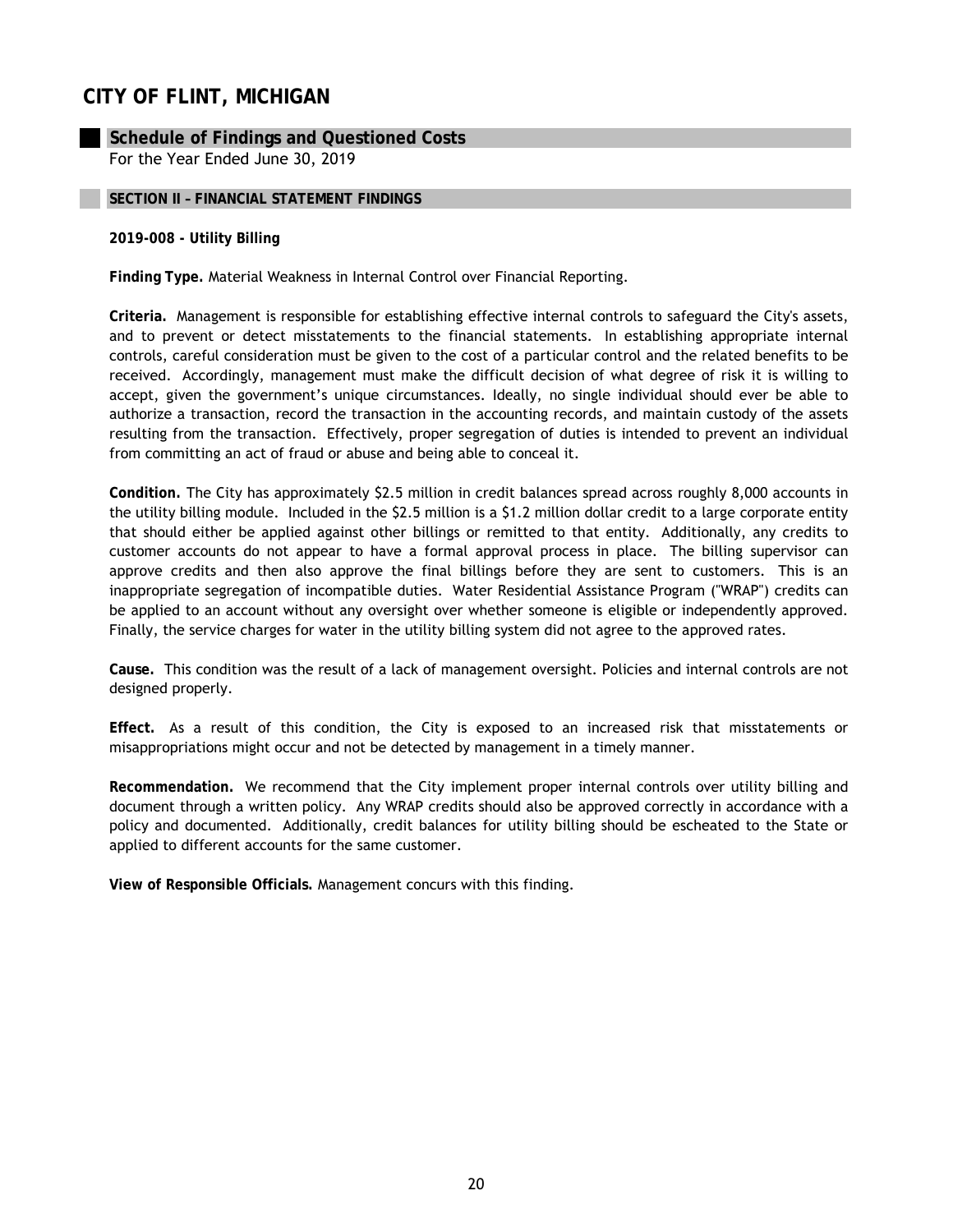### **Schedule of Findings and Questioned Costs**

For the Year Ended June 30, 2019

#### **SECTION II – FINANCIAL STATEMENT FINDINGS**

#### **2019-008 - Utility Billing**

**Finding Type.** Material Weakness in Internal Control over Financial Reporting.

**Criteria.** Management is responsible for establishing effective internal controls to safeguard the City's assets, and to prevent or detect misstatements to the financial statements. In establishing appropriate internal controls, careful consideration must be given to the cost of a particular control and the related benefits to be received. Accordingly, management must make the difficult decision of what degree of risk it is willing to accept, given the government's unique circumstances. Ideally, no single individual should ever be able to authorize a transaction, record the transaction in the accounting records, and maintain custody of the assets resulting from the transaction. Effectively, proper segregation of duties is intended to prevent an individual from committing an act of fraud or abuse and being able to conceal it.

**Condition.** The City has approximately \$2.5 million in credit balances spread across roughly 8,000 accounts in the utility billing module. Included in the \$2.5 million is a \$1.2 million dollar credit to a large corporate entity that should either be applied against other billings or remitted to that entity. Additionally, any credits to customer accounts do not appear to have a formal approval process in place. The billing supervisor can approve credits and then also approve the final billings before they are sent to customers. This is an inappropriate segregation of incompatible duties. Water Residential Assistance Program ("WRAP") credits can be applied to an account without any oversight over whether someone is eligible or independently approved. Finally, the service charges for water in the utility billing system did not agree to the approved rates.

**Cause.** This condition was the result of a lack of management oversight. Policies and internal controls are not designed properly.

**Effect.** As a result of this condition, the City is exposed to an increased risk that misstatements or misappropriations might occur and not be detected by management in a timely manner.

**Recommendation.** We recommend that the City implement proper internal controls over utility billing and document through a written policy. Any WRAP credits should also be approved correctly in accordance with a policy and documented. Additionally, credit balances for utility billing should be escheated to the State or applied to different accounts for the same customer.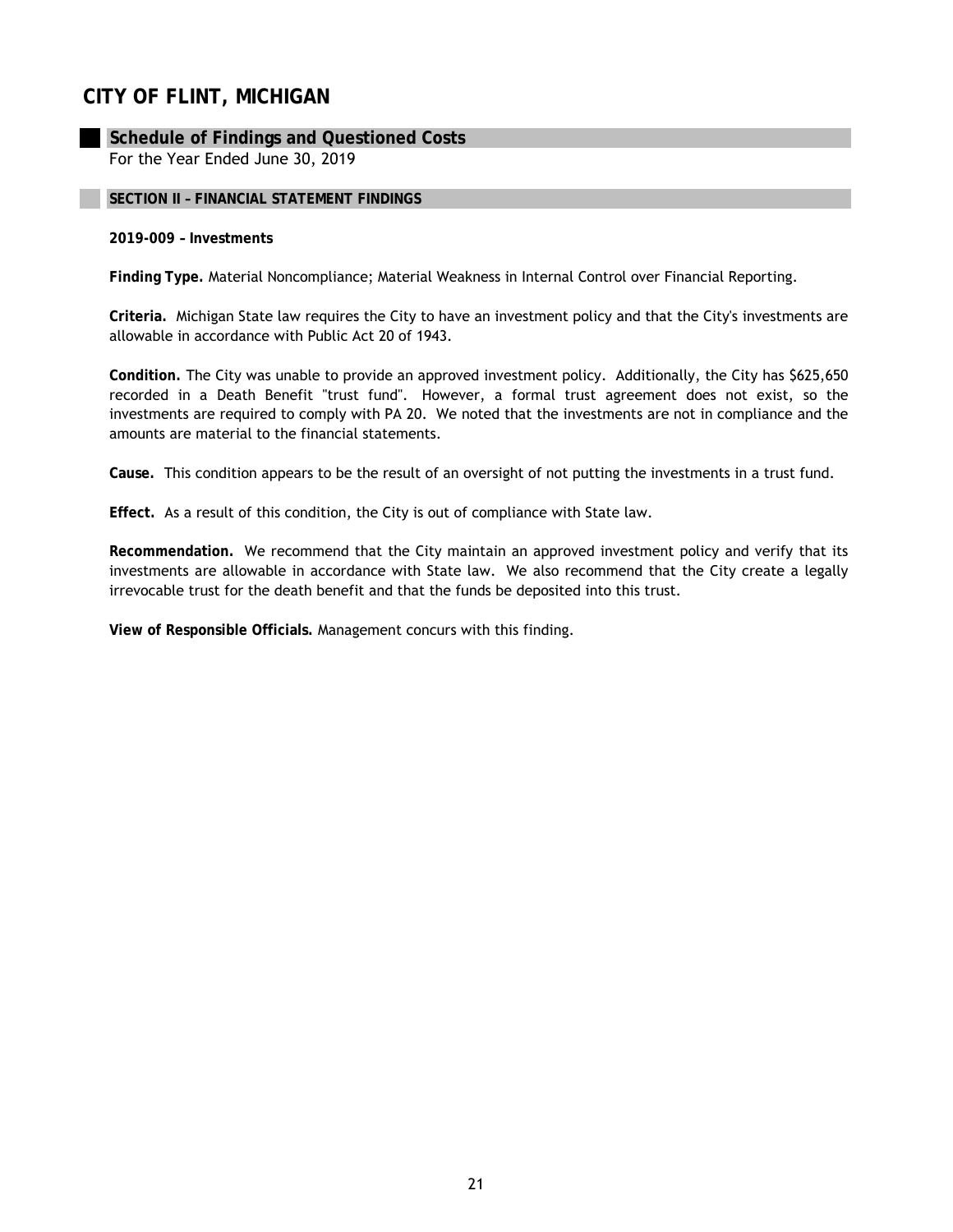#### **Schedule of Findings and Questioned Costs**

For the Year Ended June 30, 2019

#### **SECTION II – FINANCIAL STATEMENT FINDINGS**

#### **2019-009 – Investments**

**Finding Type.** Material Noncompliance; Material Weakness in Internal Control over Financial Reporting.

**Criteria.** Michigan State law requires the City to have an investment policy and that the City's investments are allowable in accordance with Public Act 20 of 1943.

**Condition.** The City was unable to provide an approved investment policy. Additionally, the City has \$625,650 recorded in a Death Benefit "trust fund". However, a formal trust agreement does not exist, so the investments are required to comply with PA 20. We noted that the investments are not in compliance and the amounts are material to the financial statements.

**Cause.** This condition appears to be the result of an oversight of not putting the investments in a trust fund.

**Effect.** As a result of this condition, the City is out of compliance with State law.

**Recommendation.** We recommend that the City maintain an approved investment policy and verify that its investments are allowable in accordance with State law. We also recommend that the City create a legally irrevocable trust for the death benefit and that the funds be deposited into this trust.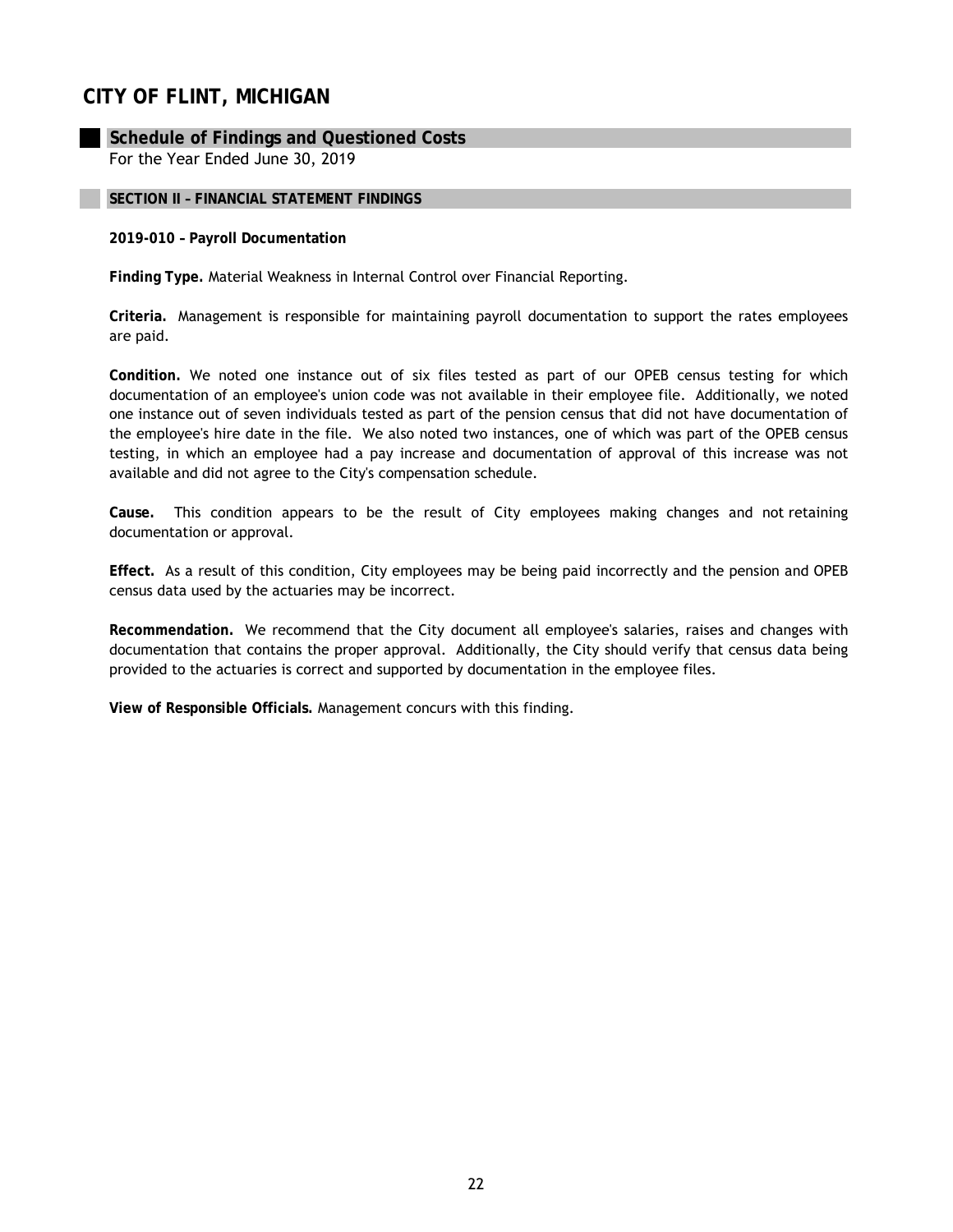#### **Schedule of Findings and Questioned Costs**

For the Year Ended June 30, 2019

#### **SECTION II – FINANCIAL STATEMENT FINDINGS**

**2019-010 – Payroll Documentation**

**Finding Type.** Material Weakness in Internal Control over Financial Reporting.

**Criteria.** Management is responsible for maintaining payroll documentation to support the rates employees are paid.

**Condition.** We noted one instance out of six files tested as part of our OPEB census testing for which documentation of an employee's union code was not available in their employee file. Additionally, we noted one instance out of seven individuals tested as part of the pension census that did not have documentation of the employee's hire date in the file. We also noted two instances, one of which was part of the OPEB census testing, in which an employee had a pay increase and documentation of approval of this increase was not available and did not agree to the City's compensation schedule.

**Cause.** This condition appears to be the result of City employees making changes and not retaining documentation or approval.

**Effect.** As a result of this condition, City employees may be being paid incorrectly and the pension and OPEB census data used by the actuaries may be incorrect.

**Recommendation.** We recommend that the City document all employee's salaries, raises and changes with documentation that contains the proper approval. Additionally, the City should verify that census data being provided to the actuaries is correct and supported by documentation in the employee files.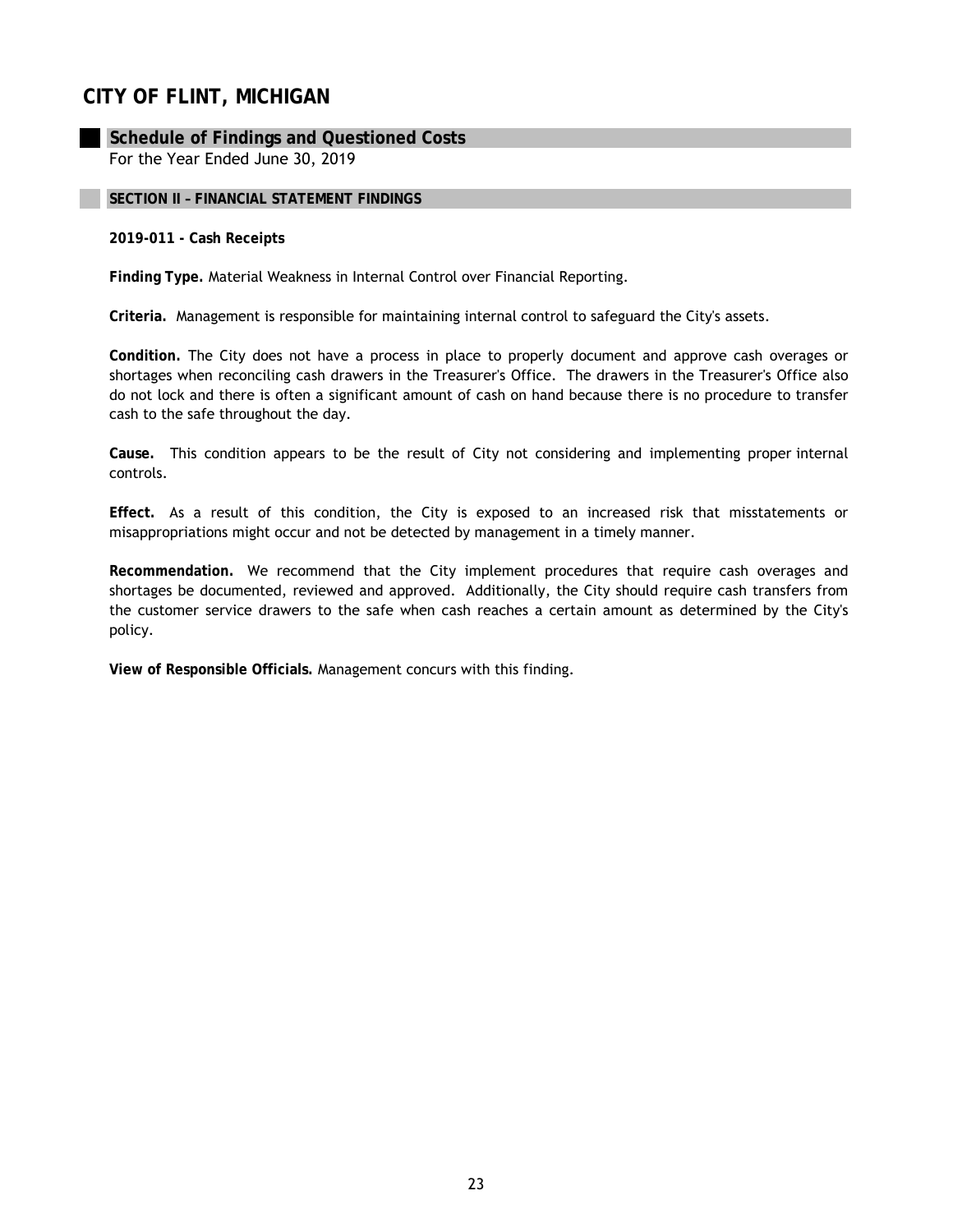#### **Schedule of Findings and Questioned Costs**

For the Year Ended June 30, 2019

#### **SECTION II – FINANCIAL STATEMENT FINDINGS**

**2019-011 - Cash Receipts**

**Finding Type.** Material Weakness in Internal Control over Financial Reporting.

**Criteria.** Management is responsible for maintaining internal control to safeguard the City's assets.

**Condition.** The City does not have a process in place to properly document and approve cash overages or shortages when reconciling cash drawers in the Treasurer's Office. The drawers in the Treasurer's Office also do not lock and there is often a significant amount of cash on hand because there is no procedure to transfer cash to the safe throughout the day.

**Cause.** This condition appears to be the result of City not considering and implementing proper internal controls.

**Effect.** As a result of this condition, the City is exposed to an increased risk that misstatements or misappropriations might occur and not be detected by management in a timely manner.

**Recommendation.** We recommend that the City implement procedures that require cash overages and shortages be documented, reviewed and approved. Additionally, the City should require cash transfers from the customer service drawers to the safe when cash reaches a certain amount as determined by the City's policy.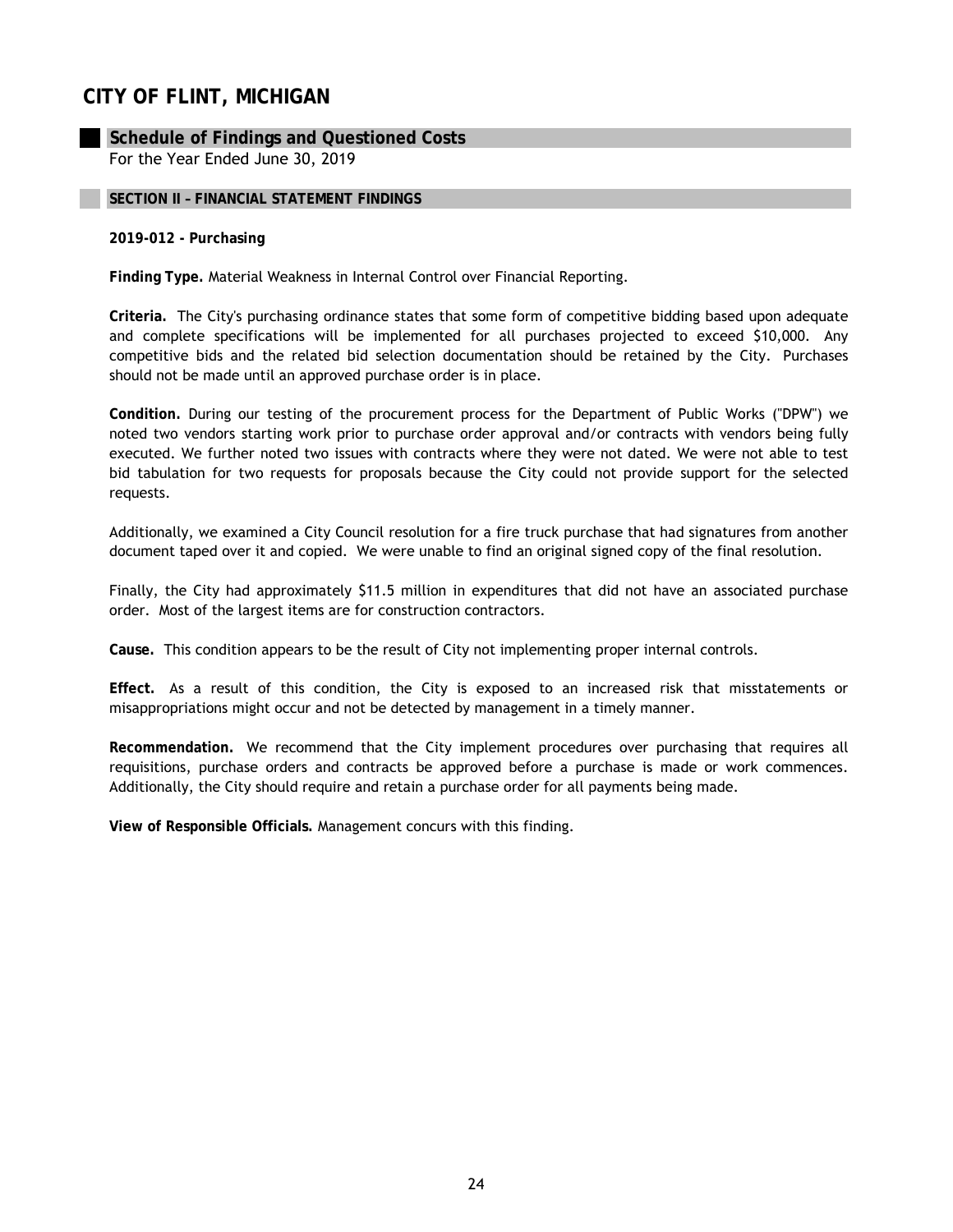#### **Schedule of Findings and Questioned Costs**

For the Year Ended June 30, 2019

#### **SECTION II – FINANCIAL STATEMENT FINDINGS**

**2019-012 - Purchasing**

**Finding Type.** Material Weakness in Internal Control over Financial Reporting.

**Criteria.** The City's purchasing ordinance states that some form of competitive bidding based upon adequate and complete specifications will be implemented for all purchases projected to exceed \$10,000. Any competitive bids and the related bid selection documentation should be retained by the City. Purchases should not be made until an approved purchase order is in place.

**Condition.** During our testing of the procurement process for the Department of Public Works ("DPW") we noted two vendors starting work prior to purchase order approval and/or contracts with vendors being fully executed. We further noted two issues with contracts where they were not dated. We were not able to test bid tabulation for two requests for proposals because the City could not provide support for the selected requests.

Additionally, we examined a City Council resolution for a fire truck purchase that had signatures from another document taped over it and copied. We were unable to find an original signed copy of the final resolution.

Finally, the City had approximately \$11.5 million in expenditures that did not have an associated purchase order. Most of the largest items are for construction contractors.

**Cause.** This condition appears to be the result of City not implementing proper internal controls.

**Effect.** As a result of this condition, the City is exposed to an increased risk that misstatements or misappropriations might occur and not be detected by management in a timely manner.

**Recommendation.** We recommend that the City implement procedures over purchasing that requires all requisitions, purchase orders and contracts be approved before a purchase is made or work commences. Additionally, the City should require and retain a purchase order for all payments being made.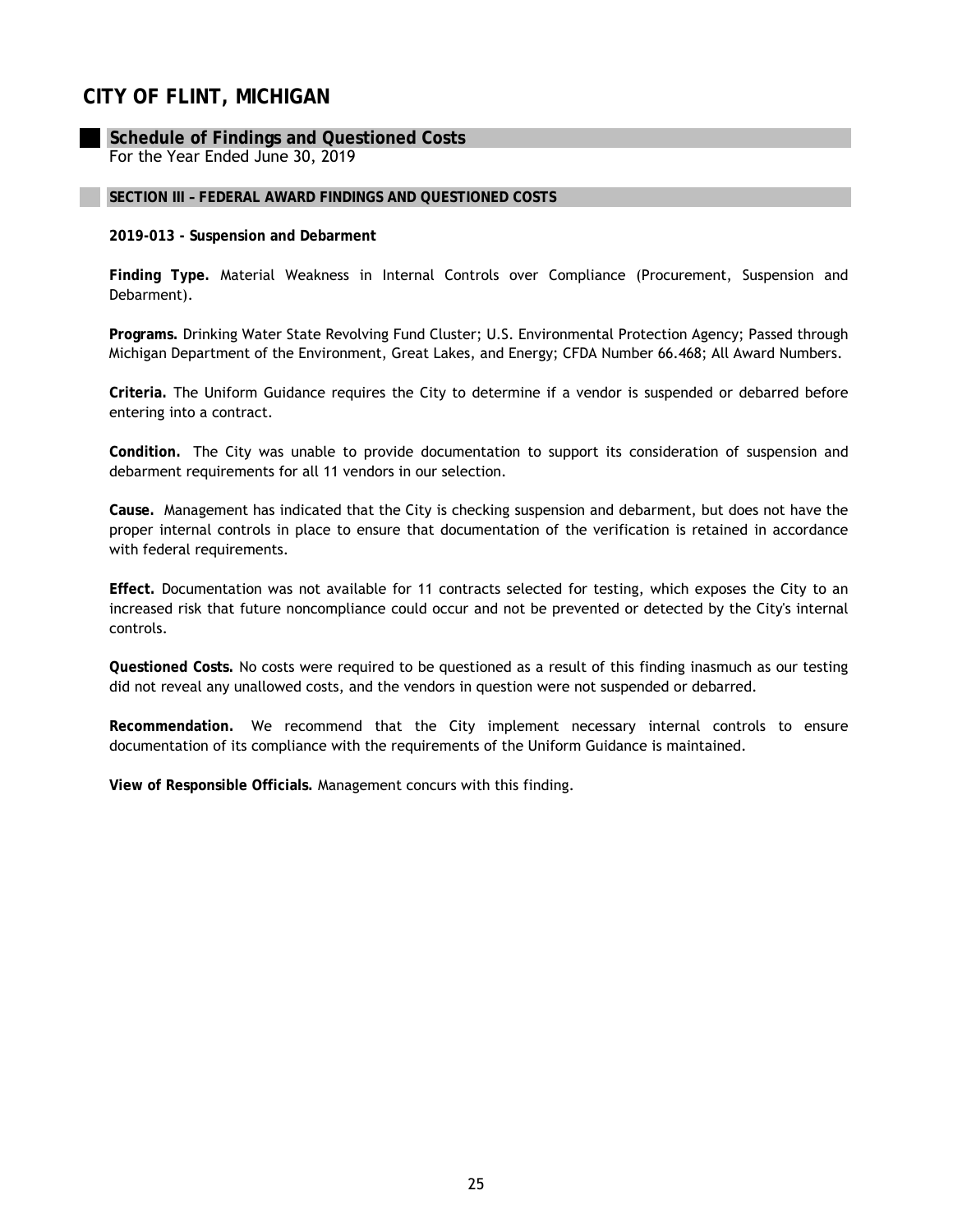#### **Schedule of Findings and Questioned Costs** For the Year Ended June 30, 2019

#### **SECTION III – FEDERAL AWARD FINDINGS AND QUESTIONED COSTS**

**2019-013 - Suspension and Debarment**

**Finding Type.** Material Weakness in Internal Controls over Compliance (Procurement, Suspension and Debarment).

**Programs.** Drinking Water State Revolving Fund Cluster; U.S. Environmental Protection Agency; Passed through Michigan Department of the Environment, Great Lakes, and Energy; CFDA Number 66.468; All Award Numbers.

**Criteria.** The Uniform Guidance requires the City to determine if a vendor is suspended or debarred before entering into a contract.

**Condition.** The City was unable to provide documentation to support its consideration of suspension and debarment requirements for all 11 vendors in our selection.

**Cause.** Management has indicated that the City is checking suspension and debarment, but does not have the proper internal controls in place to ensure that documentation of the verification is retained in accordance with federal requirements.

**Effect.** Documentation was not available for 11 contracts selected for testing, which exposes the City to an increased risk that future noncompliance could occur and not be prevented or detected by the City's internal controls.

**Questioned Costs.** No costs were required to be questioned as a result of this finding inasmuch as our testing did not reveal any unallowed costs, and the vendors in question were not suspended or debarred.

**Recommendation.** We recommend that the City implement necessary internal controls to ensure documentation of its compliance with the requirements of the Uniform Guidance is maintained.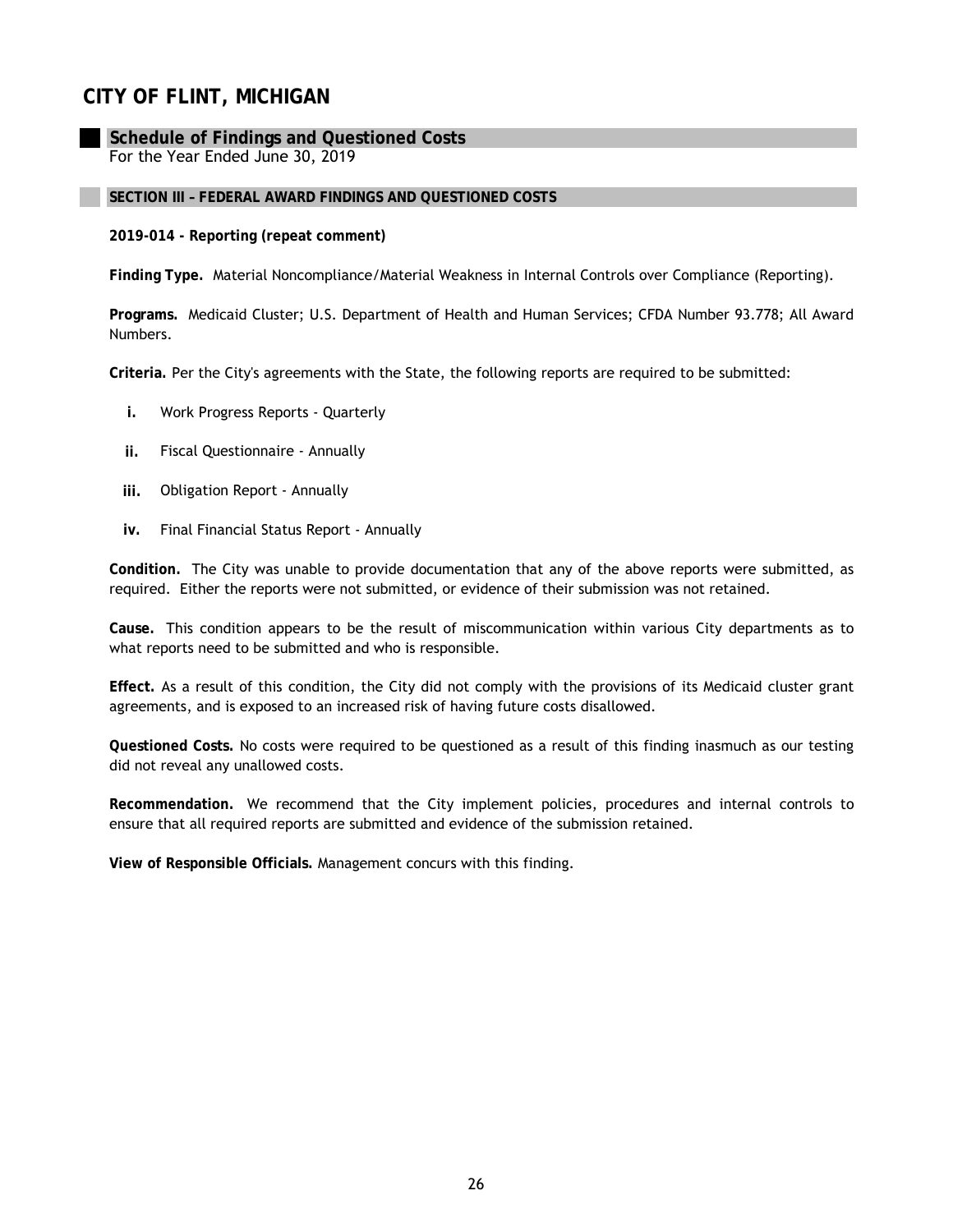#### **Schedule of Findings and Questioned Costs** For the Year Ended June 30, 2019

#### **SECTION III – FEDERAL AWARD FINDINGS AND QUESTIONED COSTS**

**2019-014 - Reporting (repeat comment)**

**Finding Type.** Material Noncompliance/Material Weakness in Internal Controls over Compliance (Reporting).

**Programs.** Medicaid Cluster; U.S. Department of Health and Human Services; CFDA Number 93.778; All Award Numbers.

**Criteria.** Per the City's agreements with the State, the following reports are required to be submitted:

- **i.** Work Progress Reports Quarterly
- **ii.** Fiscal Questionnaire Annually
- **iii.** Obligation Report Annually
- **iv.** Final Financial Status Report Annually

**Condition.** The City was unable to provide documentation that any of the above reports were submitted, as required. Either the reports were not submitted, or evidence of their submission was not retained.

**Cause.** This condition appears to be the result of miscommunication within various City departments as to what reports need to be submitted and who is responsible.

**Effect.** As a result of this condition, the City did not comply with the provisions of its Medicaid cluster grant agreements, and is exposed to an increased risk of having future costs disallowed.

**Questioned Costs.** No costs were required to be questioned as a result of this finding inasmuch as our testing did not reveal any unallowed costs.

**Recommendation.** We recommend that the City implement policies, procedures and internal controls to ensure that all required reports are submitted and evidence of the submission retained.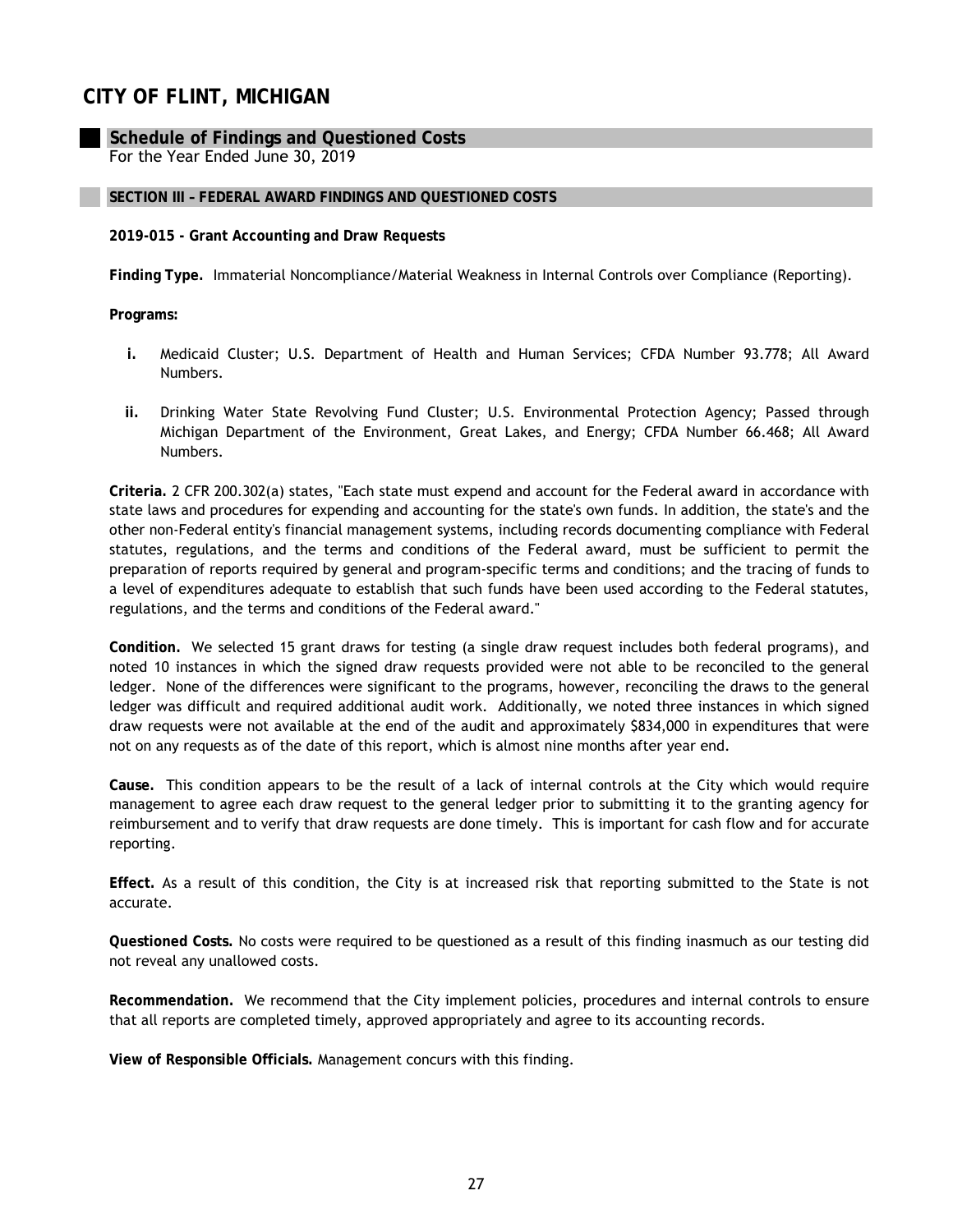**Schedule of Findings and Questioned Costs** For the Year Ended June 30, 2019

#### **SECTION III – FEDERAL AWARD FINDINGS AND QUESTIONED COSTS**

**2019-015 - Grant Accounting and Draw Requests**

**Finding Type.** Immaterial Noncompliance/Material Weakness in Internal Controls over Compliance (Reporting).

**Programs:**

- **i.** Medicaid Cluster; U.S. Department of Health and Human Services; CFDA Number 93.778; All Award Numbers.
- **ii.** Drinking Water State Revolving Fund Cluster; U.S. Environmental Protection Agency; Passed through Michigan Department of the Environment, Great Lakes, and Energy; CFDA Number 66.468; All Award Numbers.

**Criteria.** 2 CFR 200.302(a) states, "Each state must expend and account for the Federal award in accordance with state laws and procedures for expending and accounting for the state's own funds. In addition, the state's and the other non-Federal entity's financial management systems, including records documenting compliance with Federal statutes, regulations, and the terms and conditions of the Federal award, must be sufficient to permit the preparation of reports required by general and program-specific terms and conditions; and the tracing of funds to a level of expenditures adequate to establish that such funds have been used according to the Federal statutes, regulations, and the terms and conditions of the Federal award."

**Condition.** We selected 15 grant draws for testing (a single draw request includes both federal programs), and noted 10 instances in which the signed draw requests provided were not able to be reconciled to the general ledger. None of the differences were significant to the programs, however, reconciling the draws to the general ledger was difficult and required additional audit work. Additionally, we noted three instances in which signed draw requests were not available at the end of the audit and approximately \$834,000 in expenditures that were not on any requests as of the date of this report, which is almost nine months after year end.

**Cause.** This condition appears to be the result of a lack of internal controls at the City which would require management to agree each draw request to the general ledger prior to submitting it to the granting agency for reimbursement and to verify that draw requests are done timely. This is important for cash flow and for accurate reporting.

**Effect.** As a result of this condition, the City is at increased risk that reporting submitted to the State is not accurate.

**Questioned Costs.** No costs were required to be questioned as a result of this finding inasmuch as our testing did not reveal any unallowed costs.

**Recommendation.** We recommend that the City implement policies, procedures and internal controls to ensure that all reports are completed timely, approved appropriately and agree to its accounting records.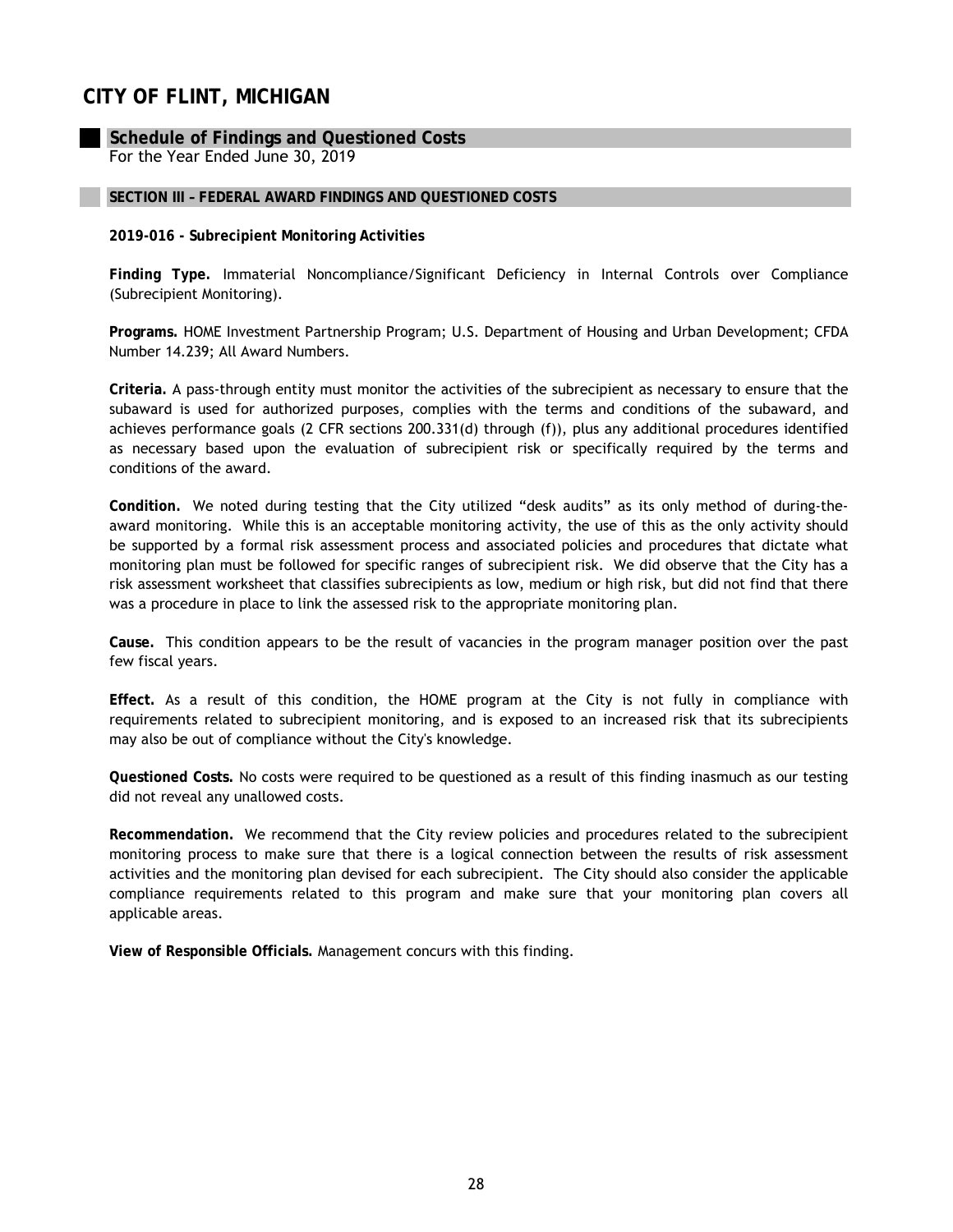#### **Schedule of Findings and Questioned Costs** For the Year Ended June 30, 2019

#### **SECTION III – FEDERAL AWARD FINDINGS AND QUESTIONED COSTS**

**2019-016 - Subrecipient Monitoring Activities**

**Finding Type.** Immaterial Noncompliance/Significant Deficiency in Internal Controls over Compliance (Subrecipient Monitoring).

**Programs.** HOME Investment Partnership Program; U.S. Department of Housing and Urban Development; CFDA Number 14.239; All Award Numbers.

**Criteria.** A pass-through entity must monitor the activities of the subrecipient as necessary to ensure that the subaward is used for authorized purposes, complies with the terms and conditions of the subaward, and achieves performance goals (2 CFR sections 200.331(d) through (f)), plus any additional procedures identified as necessary based upon the evaluation of subrecipient risk or specifically required by the terms and conditions of the award.

**Condition.** We noted during testing that the City utilized "desk audits" as its only method of during-theaward monitoring. While this is an acceptable monitoring activity, the use of this as the only activity should be supported by a formal risk assessment process and associated policies and procedures that dictate what monitoring plan must be followed for specific ranges of subrecipient risk. We did observe that the City has a risk assessment worksheet that classifies subrecipients as low, medium or high risk, but did not find that there was a procedure in place to link the assessed risk to the appropriate monitoring plan.

**Cause.** This condition appears to be the result of vacancies in the program manager position over the past few fiscal years.

**Effect.** As a result of this condition, the HOME program at the City is not fully in compliance with requirements related to subrecipient monitoring, and is exposed to an increased risk that its subrecipients may also be out of compliance without the City's knowledge.

**Questioned Costs.** No costs were required to be questioned as a result of this finding inasmuch as our testing did not reveal any unallowed costs.

**Recommendation.** We recommend that the City review policies and procedures related to the subrecipient monitoring process to make sure that there is a logical connection between the results of risk assessment activities and the monitoring plan devised for each subrecipient. The City should also consider the applicable compliance requirements related to this program and make sure that your monitoring plan covers all applicable areas.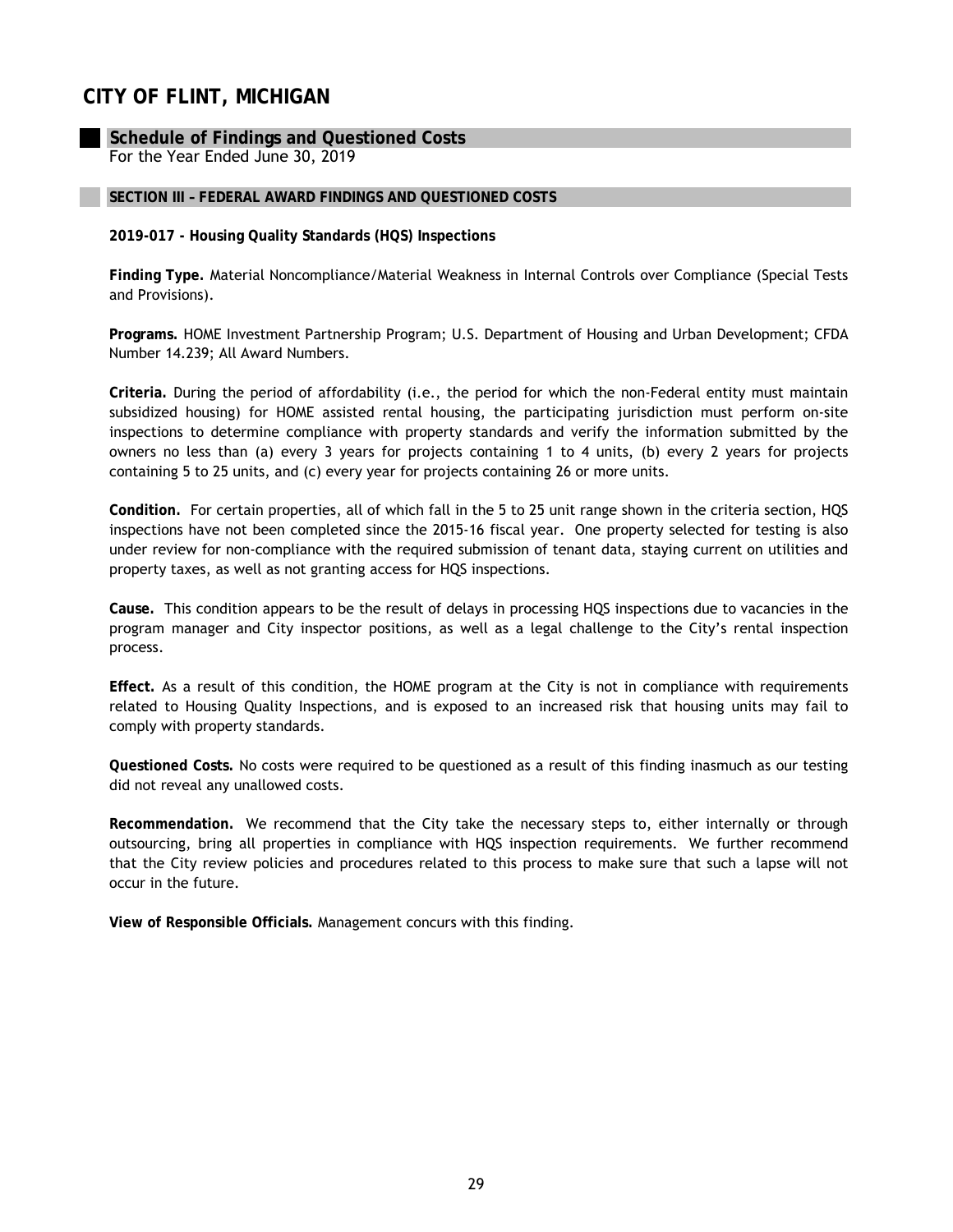#### **Schedule of Findings and Questioned Costs** For the Year Ended June 30, 2019

#### **SECTION III – FEDERAL AWARD FINDINGS AND QUESTIONED COSTS**

**2019-017 - Housing Quality Standards (HQS) Inspections**

**Finding Type.** Material Noncompliance/Material Weakness in Internal Controls over Compliance (Special Tests and Provisions).

**Programs.** HOME Investment Partnership Program; U.S. Department of Housing and Urban Development; CFDA Number 14.239; All Award Numbers.

**Criteria.** During the period of affordability (i.e., the period for which the non-Federal entity must maintain subsidized housing) for HOME assisted rental housing, the participating jurisdiction must perform on-site inspections to determine compliance with property standards and verify the information submitted by the owners no less than (a) every 3 years for projects containing 1 to 4 units, (b) every 2 years for projects containing 5 to 25 units, and (c) every year for projects containing 26 or more units.

**Condition.** For certain properties, all of which fall in the 5 to 25 unit range shown in the criteria section, HQS inspections have not been completed since the 2015-16 fiscal year. One property selected for testing is also under review for non-compliance with the required submission of tenant data, staying current on utilities and property taxes, as well as not granting access for HQS inspections.

**Cause.** This condition appears to be the result of delays in processing HQS inspections due to vacancies in the program manager and City inspector positions, as well as a legal challenge to the City's rental inspection process.

**Effect.** As a result of this condition, the HOME program at the City is not in compliance with requirements related to Housing Quality Inspections, and is exposed to an increased risk that housing units may fail to comply with property standards.

**Questioned Costs.** No costs were required to be questioned as a result of this finding inasmuch as our testing did not reveal any unallowed costs.

**Recommendation.** We recommend that the City take the necessary steps to, either internally or through outsourcing, bring all properties in compliance with HQS inspection requirements. We further recommend that the City review policies and procedures related to this process to make sure that such a lapse will not occur in the future.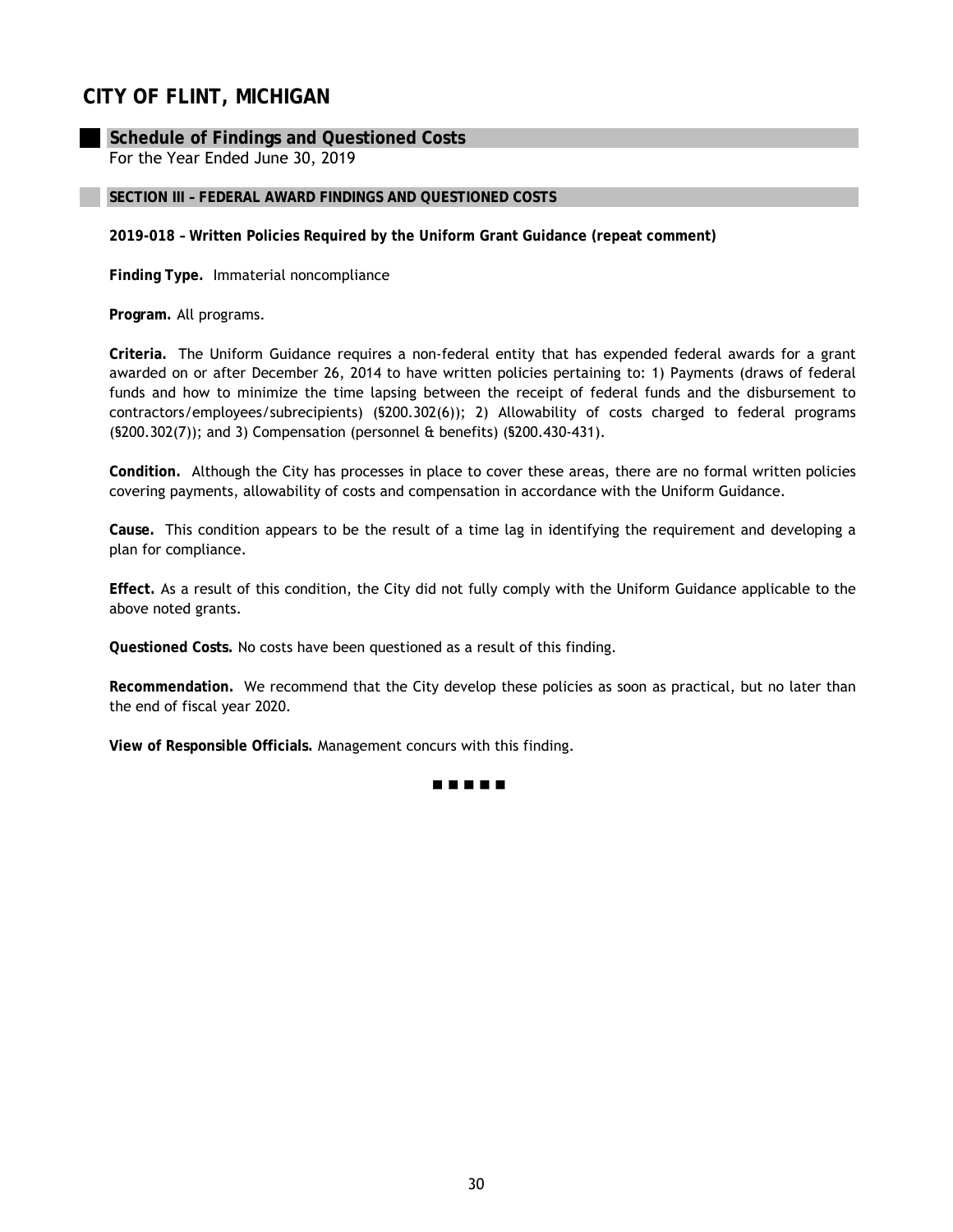### **Schedule of Findings and Questioned Costs**

For the Year Ended June 30, 2019

#### **SECTION III – FEDERAL AWARD FINDINGS AND QUESTIONED COSTS**

**2019-018 – Written Policies Required by the Uniform Grant Guidance (repeat comment)**

**Finding Type.** Immaterial noncompliance

**Program.** All programs.

**Criteria.** The Uniform Guidance requires a non-federal entity that has expended federal awards for a grant awarded on or after December 26, 2014 to have written policies pertaining to: 1) Payments (draws of federal funds and how to minimize the time lapsing between the receipt of federal funds and the disbursement to contractors/employees/subrecipients) (§200.302(6)); 2) Allowability of costs charged to federal programs (§200.302(7)); and 3) Compensation (personnel & benefits) (§200.430-431).

**Condition.** Although the City has processes in place to cover these areas, there are no formal written policies covering payments, allowability of costs and compensation in accordance with the Uniform Guidance.

**Cause.** This condition appears to be the result of a time lag in identifying the requirement and developing a plan for compliance.

**Effect.** As a result of this condition, the City did not fully comply with the Uniform Guidance applicable to the above noted grants.

**Questioned Costs.** No costs have been questioned as a result of this finding.

**Recommendation.** We recommend that the City develop these policies as soon as practical, but no later than the end of fiscal year 2020.